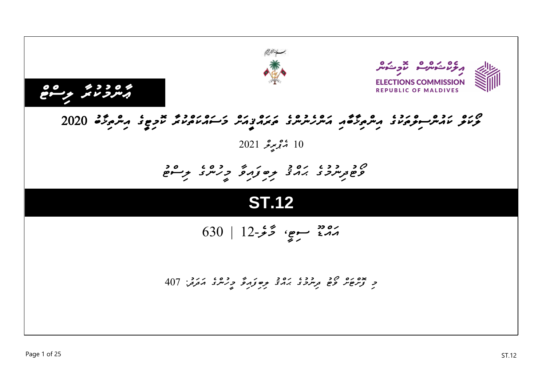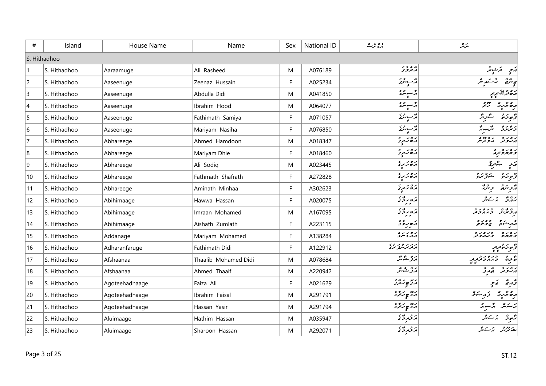| #                        | Island       | House Name     | Name                 | Sex         | National ID | ، ه ، بر <u>م</u>                         | ىئرىتر                                                             |
|--------------------------|--------------|----------------|----------------------|-------------|-------------|-------------------------------------------|--------------------------------------------------------------------|
|                          | S. Hithadhoo |                |                      |             |             |                                           |                                                                    |
|                          | S. Hithadhoo | Aaraamuge      | Ali Rasheed          | M           | A076189     | ږ د د ،<br>د تر د د                       | كمانون الكر شوقر<br>أمانون الم                                     |
| $\overline{c}$           | S. Hithadhoo | Aaseenuge      | Zeenaz Hussain       | $\mathsf F$ | A025234     | ۇ سەيىز<br>ئ                              | ىي ئىنج برقى ئىرگىرىدى<br>ئىن ئىنجا ئىرگىرىدى<br>ئەش قىراللەرىپىيە |
| 3                        | S. Hithadhoo | Aaseenuge      | Abdulla Didi         | M           | A041850     | ۇ سومىرى<br>ئ                             |                                                                    |
| $\overline{\mathcal{L}}$ | S. Hithadhoo | Aaseenuge      | Ibrahim Hood         | M           | A064077     | ۇ سوپىرى<br>ئ                             |                                                                    |
| 5                        | S. Hithadhoo | Aaseenuge      | Fathimath Samiya     | $\mathsf F$ | A071057     | ۇ سەيىرى<br>ئ                             | وٌ و دَو مُ سُرْ رَ                                                |
| 6                        | S. Hithadhoo | Aaseenuge      | Mariyam Nasiha       | F           | A076850     | ۇ سەيىز<br>ئ                              | رەرە شەر                                                           |
| $\overline{7}$           | S. Hithadhoo | Abhareege      | Ahmed Hamdoon        | M           | A018347     | رەبە<br>مەھ ئەمبرى                        | رەرد رەپىرە                                                        |
| 8                        | S. Hithadhoo | Abhareege      | Mariyam Dhie         | F           | A018460     | رەر<br>مەسىرى                             | ر ه ر ه ر<br><del>د</del> بربرد تربر                               |
| $ 9\rangle$              | S. Hithadhoo | Abhareege      | Ali Sodiq            | M           | A023445     | رەر<br>مەھ ئەمېرى                         | ړې شوره<br>مړينې                                                   |
| 10                       | S. Hithadhoo | Abhareege      | Fathmath Shafrath    | F           | A272828     | بر ٥ رسم ٢<br>مرڪب سرچ                    | ژ <sub>مو</sub> ځ مشور پره<br>ر                                    |
| 11                       | S. Hithadhoo | Abhareege      | Aminath Minhaa       | F           | A302623     | رە<br>دەرىپرى                             | أأدبتهم وبثراثه                                                    |
| 12                       | S. Hithadhoo | Abihimaage     | Hawwa Hassan         | F           | A020075     | $55 - 67$                                 | برەپ برسكىر                                                        |
| 13                       | S. Hithadhoo | Abihimaage     | Imraan Mohamed       | M           | A167095     | $55 - 67$                                 | ە ئەھرىر ئەرەر ئە                                                  |
| 14                       | S. Hithadhoo | Abihimaage     | Aishath Zumlath      | $\mathsf F$ | A223115     | ړه روځ<br>د                               | 3 ر 2 م<br>مح تر <del>گر</del> مو<br>پ <sup>و</sup> پر شوې         |
| 15                       | S. Hithadhoo | Addanage       | Mariyam Mohamed      | F           | A138284     | ره ر ر ،<br>پرد ۽ سر <sub>ک</sub>         | ر ه بر ه<br><del>و</del> بربرد<br>و ر ه ر د<br>تر پر ژنر           |
| 16                       | S. Hithadhoo | Adharanfaruge  | Fathimath Didi       | F           | A122912     | ر ر ر ه ر و ،<br>پرتربر سرتی بوی          | و د د د ورد د                                                      |
| 17                       | S. Hithadhoo | Afshaanaa      | Thaalib Mohamed Didi | M           | A078684     | ىر ۋېشە ئىر                               | و دره درورد                                                        |
| 18                       | S. Hithadhoo | Afshaanaa      | Ahmed Thaaif         | M           | A220942     | ىر ۋېشە ئىر                               | برەر دەر                                                           |
| 19                       | S. Hithadhoo | Agoteehadhaage | Faiza Ali            | F           | A021629     | پر پیر پر پر پر<br>  پر پی پی پی پر پر پر | وٌدِجَ الأَمِرِ                                                    |
| 20                       | S. Hithadhoo | Agoteehadhaage | Ibrahim Faisal       | M           | A291791     | پر بیر پر پر پر<br>  پر بی بیر پر پر پر   | وەترىرە تەسك                                                       |
| 21                       | S. Hithadhoo | Agoteehadhaage | Hassan Yasir         | M           | A291794     | پر پیر پر پر پر<br>  پر پی پی پی پر پر پر | ىز سەنلار بۇ سەنلە                                                 |
| 22                       | S. Hithadhoo | Aluimaage      | Hathim Hassan        | M           | A035947     | أرور وء                                   | ي <sub>گىر</sub> و ي <sub>ى</sub> شكىر                             |
| 23                       | S. Hithadhoo | Aluimaage      | Sharoon Hassan       | M           | A292071     | ە ئەرىرى                                  | ے دورہ کرکے مگر                                                    |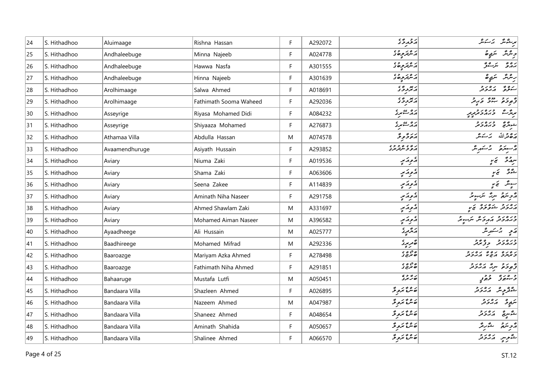| 24 | S. Hithadhoo | Aluimaage      | Rishna Hassan          | F  | A292072 |                                      | برے مگر   کرکے مگر                       |
|----|--------------|----------------|------------------------|----|---------|--------------------------------------|------------------------------------------|
| 25 | S. Hithadhoo | Andhaleebuge   | Minna Najeeb           | F  | A024778 | پر عربه چړي                          | دِ سُرْ سَرَ پِي صَ                      |
| 26 | S. Hithadhoo | Andhaleebuge   | Hawwa Nasfa            | F  | A301555 | پر ټر پر دې                          | برەپچ<br>ىئرمەتتى                        |
| 27 | S. Hithadhoo | Andhaleebuge   | Hinna Najeeb           | F  | A301639 | پر عربر و ۽                          | رِ بْرْبَدُ - سَهِرَةٌ =                 |
| 28 | S. Hithadhoo | Arolhimaage    | Salwa Ahmed            | F  | A018691 | ر بر<br>  ر بر د د د                 | ستوخ أرور و                              |
| 29 | S. Hithadhoo | Arolhimaage    | Fathimath Sooma Waheed | F  | A292036 | ر بو په په<br>د <del>ب</del> ربو د ک | و دو دوه رو د                            |
| 30 | S. Hithadhoo | Asseyrige      | Riyasa Mohamed Didi    | F  | A084232 | بر و ي <sub>ئى</sub> رى<br>مەر       | برگر وره دورور                           |
| 31 | S. Hithadhoo | Asseyrige      | Shiyaaza Mohamed       | F  | A276873 | بر و <sub>عء س</sub> ر<br>مرمر ڪوبري | أخوارج وره رو                            |
| 32 | S. Hithadhoo | Athamaa Villa  | Abdulla Hassan         | M  | A074578 | لاء وً و وَّ                         | مَدْهُ مِّرَاللَّهُ بِرَسَوْسُ           |
| 33 | S. Hithadhoo | Avaamendhuruge | Asiyath Hussain        | F  | A293852 | ر د ه ه و و ه<br>د و و سربر د د      | أما المستعرفة المستعدد المستعدد المستعدد |
| 34 | S. Hithadhoo | Aviary         | Niuma Zaki             | F. | A019536 | ە ھەم ئىر                            | سرويج<br>تجميح                           |
| 35 | S. Hithadhoo | Aviary         | Shama Zaki             | F  | A063606 | ومومر                                | $\frac{1}{2}$ $\frac{1}{2}$              |
| 36 | S. Hithadhoo | Aviary         | Seena Zakee            | F  | A114839 | وأحووكسمير                           | سويتر تجربه                              |
| 37 | S. Hithadhoo | Aviary         | Aminath Niha Naseer    | F  | A291758 | وعورسمه                              | و<br>وفريته برقم بتركيب                  |
| 38 | S. Hithadhoo | Aviary         | Ahmed Shawlam Zaki     | M  | A331697 | وعورسمه                              | ره رو دره ره کرد                         |
| 39 | S. Hithadhoo | Aviary         | Mohamed Aiman Naseer   | M  | A396582 | وحروسميه                             | ورەرو روزش شب                            |
| 40 | S. Hithadhoo | Ayaadheege     | Ali Hussain            | M  | A025777 | ر<br>پرتژیږی                         | أەسمج سىسكىرىش                           |
| 41 | S. Hithadhoo | Baadhireege    | Mohamed Mifrad         | M  | A292336 | صحيح مريحه<br>  حضر مريحه            | ورەر د ەرد د<br><i>دى</i> مەدىر دۆمەر    |
| 42 | S. Hithadhoo | Baaroazge      | Mariyam Azka Ahmed     | F. | A278498 | $rac{1}{5}$                          | נפנם נפש נפנד.<br>באחב הזי הגבת          |
| 43 | S. Hithadhoo | Baaroazge      | Fathimath Niha Ahmed   | F  | A291851 |                                      | وتجودة سربة متاردة                       |
| 44 | S. Hithadhoo | Bahaaruge      | Mustafa Lutfi          | M  | A050451 | ر و و ء<br>ن <i>ه ر</i> بر د         | و مرد و و                                |
| 45 | S. Hithadhoo | Bandaara Villa | Shazleen Ahmed         | F  | A026895 | ە ھەممۇ ئىرە ئە                      | ڪوري پرور                                |
| 46 | S. Hithadhoo | Bandaara Villa | Nazeem Ahmed           | M  | A047987 | ە ئەنگە ئىرە ق                       | بترجو مهادوند                            |
| 47 | S. Hithadhoo | Bandaara Villa | Shaneez Ahmed          | F  | A048654 | ە ئەمۇ ئىرە ئە                       | شگېږي ډورو                               |
| 48 | S. Hithadhoo | Bandaara Villa | Aminath Shahida        | F. | A050657 | مەنگە ئىرو ق                         | أأروبتهم فتمرش                           |
| 49 | S. Hithadhoo | Bandaara Villa | Shalinee Ahmed         | F  | A066570 | ئەمۇتموقر                            | المقوس أيدونه                            |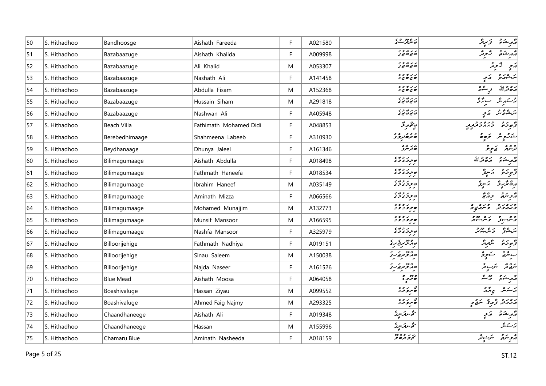| 50 | S. Hithadhoo | Bandhoosge         | Aishath Fareeda        | F  | A021580 | ر ۵ ۶۶ ۵ م<br>ت سربر سور                                | مەرخىق ئېرىگە                                   |
|----|--------------|--------------------|------------------------|----|---------|---------------------------------------------------------|-------------------------------------------------|
| 51 | S. Hithadhoo | Bazabaazuge        | Aishath Khalida        | F. | A009998 | ر ر پر و ۽<br>ھنج ھنج ي                                 | پ <sup>و</sup> مرشومو<br>مرم                    |
| 52 | S. Hithadhoo | Bazabaazuge        | Ali Khalid             | M  | A053307 | $\frac{c}{c}$ $\frac{c}{c}$ $\frac{c}{c}$ $\frac{c}{c}$ | أرشح المتحوفر                                   |
| 53 | S. Hithadhoo | Bazabaazuge        | Nashath Ali            | F. | A141458 | 58820                                                   | پر شهر د<br>سرشوره د<br>ەنبە                    |
| 54 | S. Hithadhoo | Bazabaazuge        | Abdulla Fisam          | M  | A152368 | 55000                                                   | برە تراللە<br>و شژو                             |
| 55 | S. Hithadhoo | Bazabaazuge        | Hussain Siham          | M  | A291818 | ر ر پر د ء<br>صنح صخ ي                                  |                                                 |
| 56 | S. Hithadhoo | Bazabaazuge        | Nashwan Ali            | F  | A405948 | $\frac{c}{c}$ $\frac{c}{c}$ $\frac{c}{c}$ $\frac{c}{c}$ | برقوم كالمحر                                    |
| 57 | S. Hithadhoo | <b>Beach Villa</b> | Fathimath Mohamed Didi | F  | A048853 | ھەمچە <i>مەڭ</i>                                        |                                                 |
| 58 | S. Hithadhoo | Berebedhimaage     | Shahmeena Labeeb       | F. | A310930 | ے برے دیں<br><mark>صنحرص</mark> مرکز <sub>ک</sub>       | شكرتي مدائر وأواه                               |
| 59 | S. Hithadhoo | Beydhanaage        | Dhunya Jaleel          | F  | A161346 | ،، پر پر پر<br>ن تعریش پر                               | وەپر قوتى                                       |
| 60 | S. Hithadhoo | Bilimagumaage      | Aishath Abdulla        | F. | A018498 | د د د پ<br>ح و د د د د                                  | صمصنع صهرالله                                   |
| 61 | S. Hithadhoo | Bilimagumaage      | Fathmath Haneefa       | F  | A018534 | 595990                                                  | ۇبودۇ ئەيدۇ                                     |
| 62 | S. Hithadhoo | Bilimagumaage      | Ibrahim Haneef         | M  | A035149 | ر و د ء<br>مور د د د                                    | ەر ھەترىر <i>2</i><br>برسره                     |
| 63 | S. Hithadhoo | Bilimagumaage      | Aminath Mizza          | F  | A066566 | ر و د ء<br>حو <del>ز</del> د د د                        | و څخه سرچ<br>ىر رەمج                            |
| 64 | S. Hithadhoo | Bilimagumaage      | Mohamed Munajjim       | M  | A132773 | c 4 2 1<br>5 3 5 9 <del>9</del> 0                       | 3 سرگە يى تى<br>و ر ه ر د<br>د بر پر تر         |
| 65 | S. Hithadhoo | Bilimagumaage      | Munsif Mansoor         | M  | A166595 | c <i>4 7 1</i><br>5 7 5 7 7 0                           | ىر ھەجەر<br>چە ئەسىر ئ                          |
| 66 | S. Hithadhoo | Bilimagumaage      | Nashfa Mansoor         | F  | A325979 | ر د د »<br>مور د د د                                    | ىر ھەج جۇ ج<br>ىر ئەم <sup>ە</sup> ر            |
| 67 | S. Hithadhoo | Billoorijehige     | Fathmath Nadhiya       | F  | A019151 | ه دوم د ،<br>  ه د تو بر د ک                            | ۇ بوزى<br>سرٌبررگر                              |
| 68 | S. Hithadhoo | Billoorijehige     | Sinau Saleem           | M  | A150038 | ه دو د په په<br>حرم کلمري کړې                           | سومترو<br>ستعرقر                                |
| 69 | S. Hithadhoo | Billoorijehige     | Najda Naseer           | F  | A161526 | ه دو د د د د د<br>حود تو پرې                            | ر ہ بر<br>سرچ تر<br>ىئەسبەتر                    |
| 70 | S. Hithadhoo | <b>Blue Mead</b>   | Aishath Moosa          | F  | A064058 | ه دو ه<br>حوړ و                                         | و در در در در در در در کند باشتر<br>مراجع در سر |
| 71 | S. Hithadhoo | Boashivaluge       | Hassan Ziyau           | M  | A099552 | ه بر د ،<br>گامرگری                                     | پرستمبر ہے جزیر                                 |
| 72 | S. Hithadhoo | Boashivaluge       | Ahmed Faig Najmy       | M  | A293325 | 0 مره و ،<br> خامره مرد                                 | والمرواني والملح والملج والمحمد                 |
| 73 | S. Hithadhoo | Chaandhaneege      | Aishath Ali            | F. | A019348 | كۇسىترىپرىگە                                            |                                                 |
| 74 | S. Hithadhoo | Chaandhaneege      | Hassan                 | M  | A155996 | ڭرىس <i>قرىب</i> رىگە                                   | برسەپىر                                         |
| 75 | S. Hithadhoo | Chamaru Blue       | Aminath Nasheeda       | F  | A018159 | بر ر و ه دد<br>نخونده نژ                                | أأدح سكاهي المتكر المتوفي                       |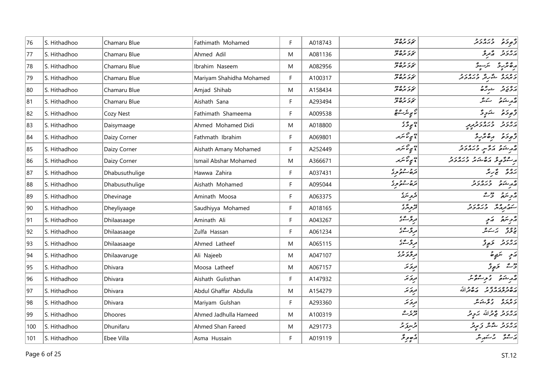| 76  | S. Hithadhoo | Chamaru Blue   | Fathimath Mohamed        | F  | A018743 | بر ر د ه دد<br>نحو تر حر               | أوجود ورورو                               |
|-----|--------------|----------------|--------------------------|----|---------|----------------------------------------|-------------------------------------------|
| 77  | S. Hithadhoo | Chamaru Blue   | Ahmed Adil               | M  | A081136 | بر ر و ه دد<br>نخونه برن نژ            | رەر ئەربى                                 |
| 78  | S. Hithadhoo | Chamaru Blue   | Ibrahim Naseem           | M  | A082956 | بر ر و ه دد<br>نئو <del>ر</del> بره تر | أرەنۇر ئىسو                               |
| 79  | S. Hithadhoo | Chamaru Blue   | Mariyam Shahidha Mohamed | F. | A100317 | بر ر د ه دد<br>نحو تر ه تر             | ג 27073 ביטר 19707                        |
| 80  | S. Hithadhoo | Chamaru Blue   | Amjad Shihab             | M  | A158434 | بر ر د ه دد<br>نحو <del>ب</del> ره نژ  | رەر ئەشرىقى<br>مەدىرى ئىس <i>رى</i>       |
| 81  | S. Hithadhoo | Chamaru Blue   | Aishath Sana             | F  | A293494 | بر بر و ه دد<br>نخو <del>ب</del> ره م  | أقرم شئوهم سنعتر                          |
| 82  | S. Hithadhoo | Cozy Nest      | Fathimath Shameema       | F  | A009538 | م <sub>کم م</sub> رکب مع               | أرٌمورَمُ شَوَرِدُ                        |
| 83  | S. Hithadhoo | Daisymaage     | Ahmed Mohamed Didi       | M  | A018800 | ا» سرچری<br>  ناسخ ترک                 | ره ر د دره روبربر<br>پرپروتر وبرمروترتربر |
| 84  | S. Hithadhoo | Daizy Corner   | Fathmath Ibrahim         | F. | A069801 | } ميءُ مئر پر                          | ومجدد مقترره                              |
| 85  | S. Hithadhoo | Daizy Corner   | Aishath Amany Mohamed    | F  | A252449 |                                        | ה<br>התשים הלית בנסגב                     |
| 86  | S. Hithadhoo | Daizy Corner   | Ismail Abshar Mohamed    | M  | A366671 | } سيءُ متر بير                         |                                           |
| 87  | S. Hithadhoo | Dhabusuthulige | Hawwa Zahira             | F  | A037431 | ره حرو د                               | برە ئەستىر ئىتىر                          |
| 88  | S. Hithadhoo | Dhabusuthulige | Aishath Mohamed          | F  | A095044 | در در در پر                            | ه دره دره دره<br>مگرشوی دربردنر           |
| 89  | S. Hithadhoo | Dhevinage      | Aminath Moosa            | F  | A063375 | قرحر سريح                              | ړ وسره د دع                               |
| 90  | S. Hithadhoo | Dheyliyaage    | Saudhiyya Mohamed        | F  | A018165 | قرمز جری<br>  قرمز جر                  | המנגד במגבע                               |
| 91  | S. Hithadhoo | Dhilaasaage    | Aminath Ali              | F  | A043267 | مرتژسته ژ                              |                                           |
| 92  | S. Hithadhoo | Dhilaasaage    | Zulfa Hassan             | F  | A061234 | مرتَرْ سَمَّىَ                         | جوۇ بەسەر                                 |
| 93  | S. Hithadhoo | Dhilaasaage    | Ahmed Latheef            | M  | A065115 | مرتَرْ سَمْرَ                          | أرور ويده                                 |
| 94  | S. Hithadhoo | Dhilaavaruge   | Ali Najeeb               | M  | A047107 | ىر <i>ئۇ خەت</i> رى                    |                                           |
| 95  | S. Hithadhoo | Dhivara        | Moosa Latheef            | M  | A067157 | ىرەكىر                                 | ورمح تخيرو                                |
| 96  | S. Hithadhoo | <b>Dhivara</b> | Aishath Gulisthan        | F  | A147932 | قری تر                                 | ر<br>مەرشىمى ئىمرىسمى                     |
| 97  | S. Hithadhoo | Dhivara        | Abdul Ghaffar Abdulla    | M  | A154279 | قرح تتر                                | رە دەرە دور رە دالله                      |
| 98  | S. Hithadhoo | <b>Dhivara</b> | Mariyam Gulshan          | F. | A293360 | در پر                                  | رەرە دەپتەر                               |
| 99  | S. Hithadhoo | <b>Dhoores</b> | Ahmed Jadhulla Hameed    | M  | A100319 | دد ،<br>تربر ک                         | أرجح قرقر قرقرالله بردير                  |
| 100 | S. Hithadhoo | Dhunifaru      | Ahmed Shan Fareed        | M  | A291773 | قرسوئر تمر                             | رەرد شەر ئېرىز                            |
| 101 | S. Hithadhoo | Ebee Villa     | Asma Hussain             | F. | A019119 | دھورڅه                                 | أرَسْدَة بِرَسَهِ بِرْ                    |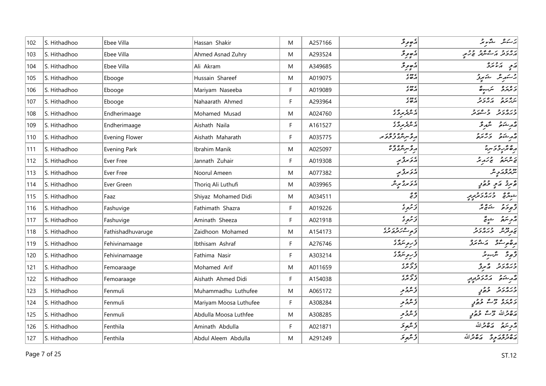| 102 | S. Hithadhoo | Ebee Villa          | Hassan Shakir          | M           | A257166 | لأحوظ                                                   | ىز سىر شىرىد<br>كەنسىسىسىسىسىسى                |
|-----|--------------|---------------------|------------------------|-------------|---------|---------------------------------------------------------|------------------------------------------------|
| 103 | S. Hithadhoo | Ebee Villa          | Ahmed Asnad Zuhry      | M           | A293524 | لرھومڅه                                                 | ره د و د ه ه و و و د<br>در د د د سوسرگر مي رمو |
| 104 | S. Hithadhoo | Ebee Villa          | Ali Akram              | M           | A349685 | لأهوقر                                                  | ړې پر دیږي                                     |
| 105 | S. Hithadhoo | Ebooge              | Hussain Shareef        | M           | A019075 | ی دو ی<br>در ن                                          | چرىكى ئىكىرچ                                   |
| 106 | S. Hithadhoo | Ebooge              | Mariyam Naseeba        | F.          | A019089 | 500                                                     | و دره سرجو                                     |
| 107 | S. Hithadhoo | Ebooge              | Nahaarath Ahmed        | F           | A293964 | 500                                                     | برور دەرو                                      |
| 108 | S. Hithadhoo | Endherimaage        | Mohamed Musad          | M           | A024760 | پر عرب پر پر پر پر<br> <br>مرسم سر                      | כנסנכ כםנכ<br><i>כג</i> ובע כ-הג               |
| 109 | S. Hithadhoo | Endherimaage        | Aishath Naila          | F           | A161527 | ې ه دې پرځ د                                            | أقمر شدة التمرقر                               |
| 110 | S. Hithadhoo | Evening Flower      | Aishath Maharath       | F.          | A035775 | برە مىرسى تەرىخ ئەس                                     | وكرشوة والمردح                                 |
| 111 | S. Hithadhoo | <b>Evening Park</b> | Ibrahim Manik          | M           | A025097 | أروسر موه وه                                            | ە ھەمەر 25 سرىد                                |
| 112 | S. Hithadhoo | Ever Free           | Jannath Zuhair         | F           | A019308 | پرې پرومبر                                              | 2 22 3 2 2 2                                   |
| 113 | S. Hithadhoo | Ever Free           | Noorul Ameen           | M           | A077382 | پرې <sub>مو</sub> تو س <sub>ي</sub>                     | در وه رچ مګر<br>سربر پر پر په                  |
| 114 | S. Hithadhoo | Ever Green          | Thoriq Ali Luthufi     | M           | A039965 | ، بەر بەر بەر<br>مەمەندىس                               | أوسرة أيمو تحوفي                               |
| 115 | S. Hithadhoo | Faaz                | Shiyaz Mohamed Didi    | M           | A034511 | ا توسط                                                  | شوره و دره د وروسيد<br>شورد و در د د د در د    |
| 116 | S. Hithadhoo | Fashuvige           | Fathimath Shazra       | F           | A019226 | ۇ ترەپ                                                  | توجوحتم ستوجر                                  |
| 117 | S. Hithadhoo | Fashuvige           | Aminath Sheeza         | F           | A021918 | ر د د ،<br>از تره ِ د                                   | ومحر مشوقي المستوقي                            |
| 118 | S. Hithadhoo | Fathishadhuvaruge   | Zaidhoon Mohamed       | M           | A154173 | ا د په سور د د د و و<br><b>او</b> ځ سور تر <i>ه</i> مرد | ז ככם כן סיב<br>המינות כהמכנת                  |
| 119 | S. Hithadhoo | Fehivinamaage       | Ibthisam Ashraf        | $\mathsf F$ | A276746 | ا در مرید دی<br>ا                                       | دەم شى كەن دەرە                                |
| 120 | S. Hithadhoo | Fehivinamaage       | Fathima Nasir          | F           | A303214 | اۇروپىد <i>ۇ</i> ؟<br>— <sup>رىر</sup> تىر              | ۇي <sub>ۇ</sub> ۇ شەير                         |
| 121 | S. Hithadhoo | Femoaraage          | Mohamed Arif           | M           | A011659 | ه ۵ و ه<br>و <del>و</del> بو د                          | ورەرو ئەر                                      |
| 122 | S. Hithadhoo | Femoaraage          | Aishath Ahmed Didi     | $\mathsf F$ | A154038 | ی <i>0 و</i> ء<br>تو <del>و</del> بو ی                  | د در ده دورور<br>د کرد د د د د در در در        |
| 123 | S. Hithadhoo | Fenmuli             | Muhammadhu Luthufee    | M           | A065172 | ۇمۇدىر                                                  | - دره در دور<br>در مرد دور                     |
| 124 | S. Hithadhoo | Fenmuli             | Mariyam Moosa Luthufee | F           | A308284 | ئۇنترىزمو                                               | د وره در و دور                                 |
| 125 | S. Hithadhoo | Fenmuli             | Abdulla Moosa Luthfee  | M           | A308285 | ئۇير <sub>ى</sub> جە مە                                 | برە بزالله تزینه تزېرى                         |
| 126 | S. Hithadhoo | Fenthila            | Aminath Abdulla        | F.          | A021871 | ؤیثرہوئز                                                | أمحر سنعد مكانة الله                           |
| 127 | S. Hithadhoo | Fenthila            | Abdul Aleem Abdulla    | M           | A291249 | اؤ مث <sub>ع</sub> بوځه                                 | رەدەرىرە رەمزاللە                              |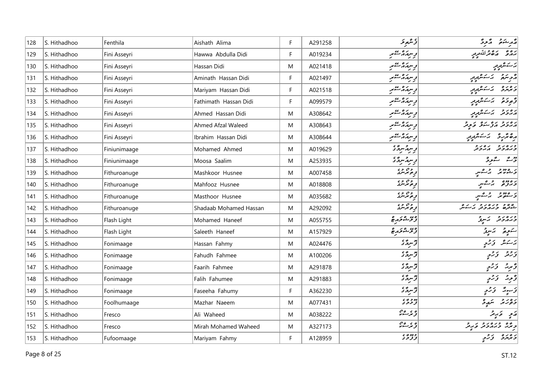| 128 | S. Hithadhoo | Fenthila     | Aishath Alima          | F           | A291258 | د مرموځه                                | و د شوځ د مرکز                            |
|-----|--------------|--------------|------------------------|-------------|---------|-----------------------------------------|-------------------------------------------|
| 129 | S. Hithadhoo | Fini Asseyri | Hawwa Abdulla Didi     | E           | A019234 | ار سرزه من<br>سرزه شور                  | بره و بره و اللّه مرمر                    |
| 130 | S. Hithadhoo | Fini Asseyri | Hassan Didi            | M           | A021418 | و سرند هم شمېر                          | ئەسەئىرى <i>س</i>                         |
| 131 | S. Hithadhoo | Fini Asseyri | Aminath Hassan Didi    | F.          | A021497 | ار سرزه من<br>په سرزه شوسه              | ە<br>مەر ئىنجە سىك ئىشرىي <sub>دى</sub> ر |
| 132 | S. Hithadhoo | Fini Asseyri | Mariyam Hassan Didi    | F.          | A021518 | و سرند د همینمبر                        | ره ره در کرد ورد د                        |
| 133 | S. Hithadhoo | Fini Asseyri | Fathimath Hassan Didi  | F           | A099579 | و پېرۍ د منځ پېر                        | ۇۋۇۋە ئەسەئىرىر                           |
| 134 | S. Hithadhoo | Fini Asseyri | Ahmed Hassan Didi      | M           | A308642 | و پېره د عقيمه                          | رەرو بەسەربىر                             |
| 135 | S. Hithadhoo | Fini Asseyri | Ahmed Afzal Waleed     | M           | A308643 | و سره د مشمېر                           | رەر دەر دەر ئەستى ئەر دەر                 |
| 136 | S. Hithadhoo | Fini Asseyri | Ibrahim Hassan Didi    | M           | A308644 | و بېرن <sub>د</sub> ە ش <sup>ې</sup> مر | رەنزىر ئەسەر                              |
| 137 | S. Hithadhoo | Finiunimaage | Mohamed Ahmed          | M           | A019629 | وسد سرچ                                 | כנסגב גםגב<br><i>בג</i> תכת הגבת          |
| 138 | S. Hithadhoo | Finiunimaage | Moosa Saalim           | M           | A253935 | و سرړ سرچ د                             | ژ شه شود د                                |
| 139 | S. Hithadhoo | Fithuroanuge | Mashkoor Husnee        | M           | A007458 | وه وه<br>د و مرس                        | ر ۶۶۶۵ قرص<br>تر شونو تر برگستر           |
| 140 | S. Hithadhoo | Fithuroanuge | Mahfooz Husnee         | M           | A018808 | وه وړه                                  | رەددە جەھىبر                              |
| 141 | S. Hithadhoo | Fithuroanuge | Masthoor Husnee        | M           | A035682 | ده و،<br>په پرسر <sub>ک</sub>           | ر ۶٫۵۰۰ برگرمبر                           |
| 142 | S. Hithadhoo | Fithuroanuge | Shadaab Mohamed Hassan | M           | A292092 | ا ده چې د ،<br>ابوموسر                  | په د دره در رکړو ک                        |
| 143 | S. Hithadhoo | Flash Light  | Mohamed Haneef         | M           | A055755 | ويحيد عربه ه<br>  و <del>ع</del> رب عرب | ورەرو ئەيدۇ                               |
| 144 | S. Hithadhoo | Flash Light  | Saleeth Haneef         | M           | A157929 | ە <i>يىن شەخەر</i> ھ                    | سەم ئەسىر                                 |
| 145 | S. Hithadhoo | Fonimaage    | Hassan Fahmy           | M           | A024476 | ترسرچ <sub>ی</sub>                      | يز کشش تورخي                              |
| 146 | S. Hithadhoo | Fonimaage    | Fahudh Fahmee          | M           | A100206 | بر<br>تر سرچ <sup>ی</sup>               | وروو ورو                                  |
| 147 | S. Hithadhoo | Fonimaage    | Faarih Fahmee          | M           | A291878 | بر<br>اقر سرچ <sub>ک</sub>              | وٌ بررُ وَرُمٍ                            |
| 148 | S. Hithadhoo | Fonimaage    | Falih Fahumee          | M           | A291883 | زمېردى                                  | وٌورُ وَرُدٍ                              |
| 149 | S. Hithadhoo | Fonimaage    | Faseeha Fahumy         | $\mathsf F$ | A362230 | بر سرچ <sub>ی</sub>                     | ۇجەنژ كەردە                               |
| 150 | S. Hithadhoo | Foolhumaage  | Mazhar Naeem           | M           | A077431 | دو و د د<br>  تو لمر تر ی               | وەر ئەسمەد                                |
| 151 | S. Hithadhoo | Fresco       | Ali Waheed             | M           | A038222 | ه ، په <i>ه</i> م                       | أتكمني المحامية                           |
| 152 | S. Hithadhoo | Fresco       | Mirah Mohamed Waheed   | M           | A327173 | ه ، په <i>۵</i> ۵                       |                                           |
| 153 | S. Hithadhoo | Fufoomaage   | Mariyam Fahmy          | F           | A128959 | و دو بر بر<br>تو تو څر ک                | د ۱۵ د و د و د                            |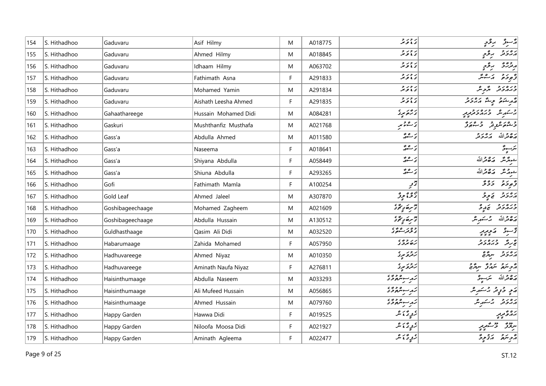| 154 | S. Hithadhoo | Gaduvaru         | Asif Hilmy           | M           | A018775 | ر و ر و<br>  د ٤ عرم                                        | ە ئەسىر تۈ<br>م<br>برقرح                                 |
|-----|--------------|------------------|----------------------|-------------|---------|-------------------------------------------------------------|----------------------------------------------------------|
| 155 | S. Hithadhoo | Gaduvaru         | Ahmed Hilmy          | M           | A018845 | ر ور و<br>ى غ خ <i>ى</i> تر                                 | ر ەر د<br>م <i>.ئ</i> رىر<br>برقرم                       |
| 156 | S. Hithadhoo | Gaduvaru         | Idhaam Hilmy         | M           | A063702 | ر ور و<br>ى غ خ <i>ى</i> تر                                 | ەر قرر 2<br>برقرمي                                       |
| 157 | S. Hithadhoo | Gaduvaru         | Fathimath Asna       | F           | A291833 | ر ور و<br>ى ع حر مر                                         | ىر شەيىتر<br>ء بر د<br>ترجو حو                           |
| 158 | S. Hithadhoo | Gaduvaru         | Mohamed Yamin        | M           | A291834 | ر و ر و<br>  ی ه حر مر                                      | כנסנכ תבית                                               |
| 159 | S. Hithadhoo | Gaduvaru         | Aishath Leesha Ahmed | F           | A291835 | ر ور و<br>ى ع حر مر                                         | أمر المستوفي ومشرح المراد و المستحدة                     |
| 160 | S. Hithadhoo | Gahaathareege    | Hussain Mohamed Didi | M           | A084281 | ر پر ر<br>ئ <sup>ح ر</sup> جو مړي                           | ج ڪمر شهر اور ورو ديوربر                                 |
| 161 | S. Hithadhoo | Gaskuri          | Mushthanfiz Musthafa | M           | A021768 | ائەتىقىم                                                    | و عام ده د ۱۵۶۵ و ۱۶                                     |
| 162 | S. Hithadhoo | Gass'a           | Abdulla Ahmed        | M           | A011580 | ر ەپچ                                                       | ەھىراللە<br>بر ہ بر د<br>م <i>ر</i> بر <del>د</del> تر   |
| 163 | S. Hithadhoo | Gass'a           | Naseema              | $\mathsf F$ | A018641 | ر ٥ پر<br>ي                                                 | ىئەسەدىچە<br>ئە                                          |
| 164 | S. Hithadhoo | Gass'a           | Shiyana Abdulla      | F           | A058449 | ىر ھۇ                                                       | حورش مكافرالله                                           |
| 165 | S. Hithadhoo | Gass'a           | Shiuna Abdulla       | F           | A293265 | ئە ھەيۋ                                                     | جورشر وكافرالله                                          |
| 166 | S. Hithadhoo | Gofi             | Fathimath Mamla      | $\mathsf F$ | A100254 | تخمخ                                                        | $500 - 299$                                              |
| 167 | S. Hithadhoo | Gold Leaf        | Ahmed Jaleel         | M           | A307870 | ە ە ە مەدە<br>  ئەمىرىمى ئور                                | برورد تخير                                               |
| 168 | S. Hithadhoo | Goshibageechaage | Mohamed Zagheem      | M           | A021609 | بو بره د پمې<br>د سره د پمې                                 | ورەرو پەر                                                |
| 169 | S. Hithadhoo | Goshibageechaage | Abdulla Hussain      | M           | A130512 | بو سرچ <sub>کمه</sub> کار دی.<br>د سرچ <sub>کمه</sub> کار ک | مەھىراللە مى خىرىش                                       |
| 170 | S. Hithadhoo | Guldhasthaage    | Qasim Ali Didi       | M           | A032520 | و ه بر _ه پر پر<br>بر موتور __ ده پر                        | ء<br>انگر سرگ انداز کارونور تعریف<br>مراجع انتخاب        |
| 171 | S. Hithadhoo | Habarumaage      | Zahida Mohamed       | $\mathsf F$ | A057950 | ر ر د » ،<br>ره برو د                                       | تح رقد ورود و                                            |
| 172 | S. Hithadhoo | Hadhuvareege     | Ahmed Niyaz          | M           | A010350 | ئەقرىر سىمىي ئە                                             | גפגל תוצם                                                |
| 173 | S. Hithadhoo | Hadhuvareege     | Aminath Naufa Niyaz  | F           | A276811 | ژوئر مړی                                                    | הכתב תרב תוב                                             |
| 174 | S. Hithadhoo | Haisinthumaage   | Abdulla Naseem       | M           | A033293 | ائەر سەھ دىيى<br>كەن سەھ دىي                                | رەقراللە سرىبود                                          |
| 175 | S. Hithadhoo | Haisinthumaage   | Ali Mufeed Hussain   | M           | A056865 | ر<br>برمړسو هغورۍ                                           | أرو و و ته بر شهر شر                                     |
| 176 | S. Hithadhoo | Haisinthumaage   | Ahmed Hussain        | M           | A079760 | ر<br>برمړ سوه <i>ده</i> د                                   | رەرو ئەسكەش                                              |
| 177 | S. Hithadhoo | Happy Garden     | Hawwa Didi           | F           | A019525 | ع په مخ <mark>کي ش</mark> ر                                 | ر <i>۵ م</i> گ <sup>ر</sup> ور<br>پرکرمگ <sup>ر</sup> پر |
| 178 | S. Hithadhoo | Happy Garden     | Niloofa Moosa Didi   | F.          | A021927 | ې په تون <del>ه</del> ته مر                                 |                                                          |
| 179 | S. Hithadhoo | Happy Garden     | Aminath Agleema      | F           | A022477 | <sub>ئە</sub> پەتچە ئەشر                                    | أأوبتهم التقويح                                          |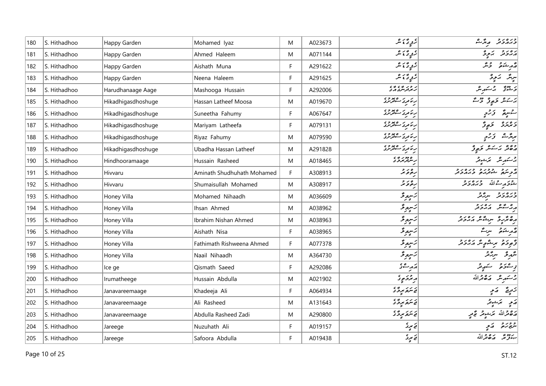| 180 | S. Hithadhoo | Happy Garden       | Mohamed Iyaz               | M           | A023673 | ئ <sub>ە</sub> پە ئەممىر<br>  ئەبۇ ئەممىر    | وره رو په ده                                 |
|-----|--------------|--------------------|----------------------------|-------------|---------|----------------------------------------------|----------------------------------------------|
| 181 | S. Hithadhoo | Happy Garden       | Ahmed Haleem               | M           | A071144 | <sup>ى</sup> بو ئەسىمىسىگە                   | أرور بروو                                    |
| 182 | S. Hithadhoo | Happy Garden       | Aishath Muna               | $\mathsf F$ | A291622 | ې په تون <del>ه</del> کې مثر                 | أمام يشموا التحامل                           |
| 183 | S. Hithadhoo | Happy Garden       | Neena Haleem               | F           | A291625 | <sup>ى</sup> بو ئەسى ئىگر                    | سرنگر - کالوگر                               |
| 184 | S. Hithadhoo | Harudhanaage Aage  | Mashooga Hussain           | F           | A292006 | ر ور بر د د<br>ربرتر شرو پر د                | تربيع بالمسكر                                |
| 185 | S. Hithadhoo | Hikadhigasdhoshuge | Hassan Latheef Moosa       | M           | A019670 | ار پر تور د حدوج<br>ابر پر تور سوفترسری      | ير پريش نوپړي وخله                           |
| 186 | S. Hithadhoo | Hikadhigasdhoshuge | Suneetha Fahumy            | F           | A067647 | ار تا دری صور دی<br>ایر تا دری سوفرمرد<br>ک  | لەيسىپتى ئۇرتىي                              |
| 187 | S. Hithadhoo | Hikadhigasdhoshuge | Mariyam Latheefa           | F           | A079131 | ر رکھ موتر ہے جو ح<br>مرکز کو سے فورسوی      | و ه ده و د و                                 |
| 188 | S. Hithadhoo | Hikadhigasdhoshuge | Riyaz Fahumy               | M           | A079590 | <br>  رئا درئا سود درج<br>  رئاس سود روح     | أبروش زرحي                                   |
| 189 | S. Hithadhoo | Hikadhigasdhoshuge | Ubadha Hassan Latheef      | M           | A291828 | <br> سرند وریه سفورسری<br> سر                | وەتر برےپر توپور                             |
| 190 | S. Hithadhoo | Hindhooramaage     | Hussain Rasheed            | M           | A018465 | ر ۵ ۶۶ ور پر د<br>بر سرفر <del>بر</del> بر ی | چرىسىم ئىر                                   |
| 191 | S. Hithadhoo | Hivvaru            | Aminath Shudhuhath Mohamed | F.          | A308913 | رە ئەر                                       | و دو ودرو وره دو.<br>مرح شي شودريني وبرمرونر |
| 192 | S. Hithadhoo | Hivvaru            | Shumaisullah Mohamed       | M           | A308917 | ره و بر                                      | فشور وسقالله وبرورو                          |
| 193 | S. Hithadhoo | Honey Villa        | Mohamed Nihaadh            | M           | A036609 | ئەس <sub>ب</sub> ورۇ                         | ورەر د سرگەر                                 |
| 194 | S. Hithadhoo | Honey Villa        | Ihsan Ahmed                | M           | A038962 | ئەبىرە ق <sup>ى</sup>                        | مرر مشر مره د و                              |
| 195 | S. Hithadhoo | Honey Villa        | Ibrahim Nishan Ahmed       | M           | A038963 | ر<br>سره د گر                                | ەھەر 2 سىشەھ مەددىر<br>رەمۇر 2 سىشەھ         |
| 196 | S. Hithadhoo | Honey Villa        | Aishath Nisa               | F.          | A038965 | رىبىرە ئە<br>ئەم                             | و ديد د سرت                                  |
| 197 | S. Hithadhoo | Honey Villa        | Fathimath Rishweena Ahmed  | F           | A077378 | ائەبىرە ئ <sup>ۇ</sup><br>ئىقلىقى            | ژًودَهُ برڪوپرَ رورڊ                         |
| 198 | S. Hithadhoo | Honey Villa        | Naail Nihaadh              | M           | A364730 | ر س <sub>رچر</sub> پژ                        | شرو سربرقر                                   |
| 199 | S. Hithadhoo | lce ge             | Qismath Saeed              | $\mathsf F$ | A292086 | وزمره بح                                     | تح سوحا به استعفر مقر                        |
| 200 | S. Hithadhoo | Irumatheege        | Hussain Abdulla            | M           | A021902 | ېر بر دې د<br>ر                              | جرسكمريثر الاقتحالله                         |
| 201 | S. Hithadhoo | Janavareemaage     | Khadeeja Ali               | F           | A064934 | ر<br>ئىسكە ئىرى <sup>سى</sup> ئ              | رَسِرِيَّ - رَسِيِ                           |
| 202 | S. Hithadhoo | Janavareemaage     | Ali Rasheed                | M           | A131643 | ر سر د سره د د کالی<br>مخالفه کالمح          | كالمحي المخرجون                              |
| 203 | S. Hithadhoo | Janavareemaage     | Abdulla Rasheed Zadi       | M           | A290800 | ىر ئىرى ئىرگ <sup>ى</sup> ي                  | رَ وَ قُرَاللّهِ مَرَ شَوْتَرَ مَحَ مَرِ     |
| 204 | S. Hithadhoo | Jareege            | Nuzuhath Ali               | F           | A019157 | ر<br>تع مور                                  | برور د مرکز                                  |
| 205 | S. Hithadhoo | Jareege            | Safoora Abdulla            | F           | A019438 | ر<br>تع مورگ                                 | بة وديج مركاة الله                           |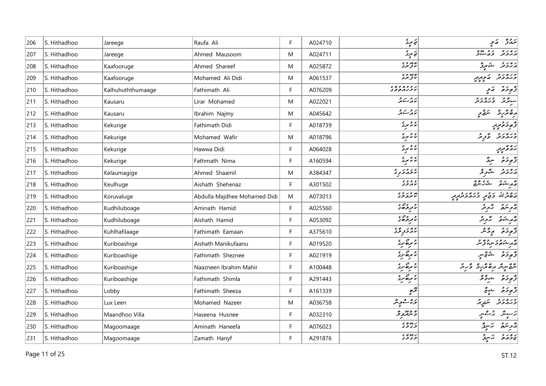| 206 | S. Hithadhoo | Jareege           | Raufa Ali                    | F           | A024710 | ر<br>تع مورگ                               | بر دی<br>برد تر<br>ەكىر                                                                                                                                                                                                          |
|-----|--------------|-------------------|------------------------------|-------------|---------|--------------------------------------------|----------------------------------------------------------------------------------------------------------------------------------------------------------------------------------------------------------------------------------|
| 207 | S. Hithadhoo | Jareege           | Ahmed Mausoom                | M           | A024711 | ر<br>قع مورگ                               | بر ه بر و<br>مرکز قر<br>ر د ده ه                                                                                                                                                                                                 |
| 208 | S. Hithadhoo | Kaafooruge        | Ahmed Shareef                | M           | A025872 | ه دد و ،<br>ما تو بو ،                     | رەرد شىرو                                                                                                                                                                                                                        |
| 209 | S. Hithadhoo | Kaafooruge        | Mohamed Ali Didi             | M           | A061537 | پر دو د ،<br>ما تو سر پر                   | و ر ه ر د<br><mark>ر بر د</mark> ر تر<br>ړ و درور<br>مړي <u>نه مخ</u>                                                                                                                                                            |
| 210 | S. Hithadhoo | Kalhuhuththumaage | Fathimath Ali                | F           | A076209 | ر و و ه و د »<br>ما ند د پر و ی            | وتجوحهم أيمني                                                                                                                                                                                                                    |
| 211 | S. Hithadhoo | Kausaru           | Lirar Mohamed                | M           | A022021 | ر ديگر د                                   | رو وره درو<br>سو <i>نرنز وبراد</i> ونر                                                                                                                                                                                           |
| 212 | S. Hithadhoo | Kausaru           | Ibrahim Najmy                | M           | A045642 | ر ديگر<br>ماړک سکونو                       | وەترىر ئىقى                                                                                                                                                                                                                      |
| 213 | S. Hithadhoo | Kekurige          | Fathimath Didi               | $\mathsf F$ | A018739 | ه و د ه<br>ما ما مور                       | ر<br>توجو <i>ح</i> کمورمبر                                                                                                                                                                                                       |
| 214 | S. Hithadhoo | Kekurige          | Mohamed Wafir                | M           | A018796 | ه د په د<br>ما ما مور                      | - دره د د<br>د <i>ب</i> رگر تر<br>ۇ پەر                                                                                                                                                                                          |
| 215 | S. Hithadhoo | Kekurige          | Hawwa Didi                   | F           | A064028 | ه د په<br>ما ما موړ                        | ر ٥ ۶ تو تو<br>بر <sub>۶</sub> گورتو                                                                                                                                                                                             |
| 216 | S. Hithadhoo | Kekurige          | Fathmath Nima                | F           | A160594 | ه د په د<br>ما ما مور                      | توپوځو<br>سرچ                                                                                                                                                                                                                    |
| 217 | S. Hithadhoo | Kelaumagige       | Ahmed Shaamil                | M           | A384347 | ، د د د د ،<br>موه تر د د                  | رەر ئىستور                                                                                                                                                                                                                       |
| 218 | S. Hithadhoo | Keulhuge          | Aishath Shehenaz             | F.          | A301502 | ړ د د ،<br>ما پر نړۍ                       | د در در در در در در در در برای برای برای برای در در در در در در در در در در دارای در دارای در دارای در دارای د<br>در دارای در دارای در دارای در دارای در دارای در دارای در دارای در دارای دارای دارای دارای دارای در دارای دارای |
| 219 | S. Hithadhoo | Koruvaluge        | Abdulla Majdhee Mohamed Didi | M           | A073013 | پر ور و ،<br>ما بود بو ت                   | أرە ئەللە كەقمى كەبركە ترىرىر                                                                                                                                                                                                    |
| 220 | S. Hithadhoo | Kudhiluboage      | Aminath Hamid                | F           | A025560 | و وه وه و<br>ما تورون و                    | أأروبتهم بمجموقه                                                                                                                                                                                                                 |
| 221 | S. Hithadhoo | Kudhiluboage      | Aishath Hamid                | F           | A053092 | د وړ  ،<br>را ترون د                       | و ديگر ديگر ديگر<br>ديگر شوند                                                                                                                                                                                                    |
| 222 | S. Hithadhoo | Kuhlhafilaage     | Fathimath Eamaan             | F           | A375610 | دەبر دې                                    | وَجوحَة رِحَمَّد                                                                                                                                                                                                                 |
| 223 | S. Hithadhoo | Kuriboashige      | Aishath Manikufaanu          | F           | A019520 | توره بره                                   | ۇر شەھ جەسرىدۇ تىر                                                                                                                                                                                                               |
| 224 | S. Hithadhoo | Kuriboashige      | Fathimath Sheznee            | F           | A021919 | لأبره برء                                  | ۔<br>ڪويج س <sub>و</sub><br>و څو څه د                                                                                                                                                                                            |
| 225 | S. Hithadhoo | Kuriboashige      | Naazneen Ibrahim Mahir       | F           | A100448 | و په هم په د                               | وە ئۇرۇ ۋرىز                                                                                                                                                                                                                     |
| 226 | S. Hithadhoo | Kuriboashige      | Fathimath Shimla             | $\mathsf F$ | A291443 | تأمره برد                                  | ۇ بوز م<br>ے وقو<br>ے                                                                                                                                                                                                            |
| 227 | S. Hithadhoo | Lobby             | Fathimath Sheeza             | F           | A161339 | تتریبح                                     | ۇ بوز <sub>ە</sub><br>سنسيخ                                                                                                                                                                                                      |
| 228 | S. Hithadhoo | Lux Leen          | Mohamed Nazeer               | M           | A036758 | <br>  ئۇن <sub>م</sub> ش <sub>ەم</sub> چەر | - دره ر د<br>د پر پر تر<br>سكفريمر                                                                                                                                                                                               |
| 229 | S. Hithadhoo | Maandhoo Villa    | Haseena Husnee               | F           | A032310 | ۇ ئەۋزە ئە                                 | ىز سونىگر م <u>ەرمىسى</u><br>سىر                                                                                                                                                                                                 |
| 230 | S. Hithadhoo | Magoomaage        | Aminath Haneefa              | F           | A076023 | ر دون تا<br>تر تار تار                     | أرمز<br>برسيدٌ                                                                                                                                                                                                                   |
| 231 | S. Hithadhoo | Magoomaage        | Zamath Hanyf                 | F           | A291876 | ر دون تا<br>تر تار تار                     | رەرد ئەر                                                                                                                                                                                                                         |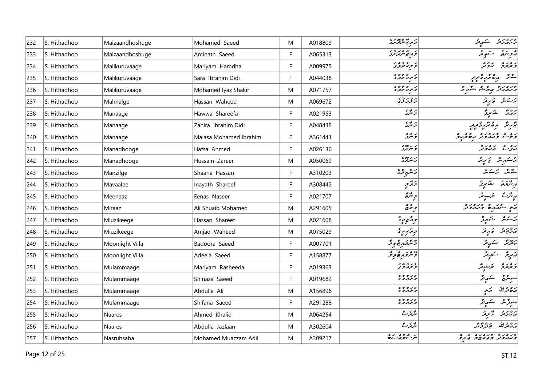| 232 | S. Hithadhoo | Maizaandhoshuge | Mohamed Saeed          | M           | A018809 | ر په ۱۶ په د د کا                              | ورەرو سەرقر                                 |
|-----|--------------|-----------------|------------------------|-------------|---------|------------------------------------------------|---------------------------------------------|
| 233 | S. Hithadhoo | Maizaandhoshuge | Aminath Saeed          | F           | A065313 | ر<br>تر در مخ سرفرسری                          | أثر حريره<br>ستهر قر                        |
| 234 | S. Hithadhoo | Malikuruvaage   | Mariyam Hamdha         | F           | A009975 | ر د د د و و و<br>د تر نا مره د                 | ر ه بر ه<br>تر بر بر ژ<br>برونژ             |
| 235 | S. Hithadhoo | Malikuruvaage   | Sara Ibrahim Didi      | F           | A044038 | ئەمەم چەمەتە<br>  ئەسرىيە ئىرى                 | ستمتز<br>ە مەگرىر 3 مەيد<br>بەھ ئىگرىر 3 ئە |
| 236 | S. Hithadhoo | Malikuruvaage   | Mohamed Iyaz Shakir    | M           | A071757 | پر ووده<br>  په پېړه تروی                      | ورەرو پەرگ ھەرىر                            |
| 237 | S. Hithadhoo | Malmalge        | Hassan Waheed          | M           | A069672 | ر ه ر ه ،<br><del>د و و و</del> د              | ىزىكەش كەرلىر                               |
| 238 | S. Hithadhoo | Manaage         | Hawwa Shareefa         | F           | A021953 | تر شری                                         | رەپچە سەيرۇ                                 |
| 239 | S. Hithadhoo | Manaage         | Zahira Ibrahim Didi    | F           | A048438 | ر پر ،<br><del>ر</del> سربر                    |                                             |
| 240 | S. Hithadhoo | Manaage         | Malasa Mohamed Ibrahim | F           | A361441 | ئە شرى<br>قەسىرى                               |                                             |
| 241 | S. Hithadhoo | Manadhooge      | Hafsa Ahmed            | F           | A026136 | ر روو ،<br>تر سربر <sub>ک</sub>                | بروث پرور د                                 |
| 242 | S. Hithadhoo | Manadhooge      | Hussain Zareer         | M           | A050069 | ر روو ،<br>تر سربر <sub>ک</sub>                | برسكريش كالمربر                             |
| 243 | S. Hithadhoo | Manzilge        | Shaana Hassan          | $\mathsf F$ | A310203 | ئەش <sub>ىر</sub> و،                           | شَرْشَ بْرَسْتَاشْ                          |
| 244 | S. Hithadhoo | Mavaalee        | Inayath Shareef        | F           | A308442 | ځ څخپ پې                                       | ە ئىرىمۇ ھەمبىرى                            |
| 245 | S. Hithadhoo | Meenaaz         | Eenas Naseer           | F           | A021707 | جریٹری                                         | ریگرے انگریٹرنگر                            |
| 246 | S. Hithadhoo | Miraaz          | Ali Shuaib Mohamed     | M           | A291605 | جرمگرم                                         | ג׳ ליגוד בגורד                              |
| 247 | S. Hithadhoo | Miuzikeege      | Hassan Shareef         | M           | A021608 | حەد تىم بورى<br>بر                             | ز کەش ھەمرىۋ                                |
| 248 | S. Hithadhoo | Miuzikeege      | Amjad Waheed           | M           | A075029 | حەر تەسىرى<br>س                                | أرور و مريد                                 |
| 249 | S. Hithadhoo | Moonlight Villa | Badoora Saeed          | F           | A007701 | وموجره وبحر                                    | ردوی سکھیے<br>صفر پر                        |
| 250 | S. Hithadhoo | Moonlight Villa | Adeela Saeed           | F           | A158877 | وممر فروغ وتخر                                 | كەنبەق سەمەتر                               |
| 251 | S. Hithadhoo | Mulammaage      | Mariyam Rasheeda       | F           | A019363 | ور ه پو ،<br>د <del>ز</del> بر <del>ر</del> د  | رەرە بەشەدگە                                |
| 252 | S. Hithadhoo | Mulammaage      | Shinaza Saeed          | F           | A019682 | و ره و »<br>د <del>و</del> د د د               | الموشَّعَ<br>سکوپەتر                        |
| 253 | S. Hithadhoo | Mulammaage      | Abdulla Ali            | M           | A156896 | و ره و »<br>د <del>و</del> د د د               | برة قرالله برَمٍ                            |
| 254 | S. Hithadhoo | Mulammaage      | Shifana Saeed          | $\mathsf F$ | A291288 | و ره و »<br><del>ر</del> نو پر تر <sub>ک</sub> | أحورٌ مَّرَ سَمَرٍ مِّرَ                    |
| 255 | S. Hithadhoo | <b>Naares</b>   | Ahmed Khalid           | M           | A064254 | پرې ه<br>مربر شر                               | برەر باز ئەر                                |
| 256 | S. Hithadhoo | Naares          | Abdulla Jazlaan        | M           | A302604 | متر پر ہ                                       | رەقراللە يەۋش                               |
| 257 | S. Hithadhoo | Nasruhsaba      | Mohamed Muazzam Adil   | M           | A309217 | ىر 250 مەنچ                                    | כנסני כנסנס שני                             |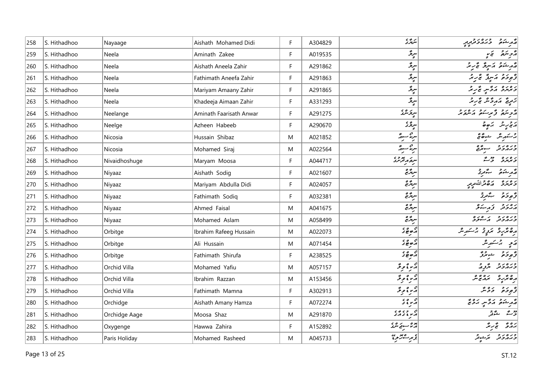| 258 | S. Hithadhoo | Nayaage       | Aishath Mohamed Didi    | F  | A304829 | ر و ،<br>س د د                                                                   |                                                                                                                |
|-----|--------------|---------------|-------------------------|----|---------|----------------------------------------------------------------------------------|----------------------------------------------------------------------------------------------------------------|
| 259 | S. Hithadhoo | Neela         | Aminath Zakee           | F  | A019535 | سریڅر                                                                            | أأترسم تمي                                                                                                     |
| 260 | S. Hithadhoo | Neela         | Aishath Aneela Zahir    | F. | A291862 | سربڑ                                                                             |                                                                                                                |
| 261 | S. Hithadhoo | Neela         | Fathimath Aneefa Zahir  | F  | A291863 | سربڅر                                                                            | توجوخو مستي تجربنه                                                                                             |
| 262 | S. Hithadhoo | Neela         | Mariyam Amaany Zahir    | F  | A291865 | سریڅر                                                                            | أدورو أرؤس لجرير                                                                                               |
| 263 | S. Hithadhoo | Neela         | Khadeeja Aimaan Zahir   | F  | A331293 | سربڑ                                                                             | كتعريق مكرومحمد لتجرير                                                                                         |
| 264 | S. Hithadhoo | Neelange      | Aminath Faarisath Anwar | F  | A291275 | سرىخەشرى                                                                         | أدوسم ومرسوم المتلقان                                                                                          |
| 265 | S. Hithadhoo | Neelge        | Azheen Habeeb           | F  | A290670 | سرچري                                                                            |                                                                                                                |
| 266 | S. Hithadhoo | Nicosia       | Hussain Shibaz          | M  | A021852 | مبرینا مس <i>ور</i>                                                              | $rac{1}{2}$                                                                                                    |
| 267 | S. Hithadhoo | Nicosia       | Mohamed Siraj           | M  | A022564 | سربنا سورمج                                                                      | وره رو سوټرنج                                                                                                  |
| 268 | S. Hithadhoo | Nivaidhoshuge | Maryam Moosa            | F  | A044717 | سرچە جە جە<br>سرچە سرچىرى                                                        | د ه ده دورم                                                                                                    |
| 269 | S. Hithadhoo | Niyaaz        | Aishath Sodig           | F  | A021607 | سرگرمج                                                                           | و ديده سورته<br>مرسوم سورته                                                                                    |
| 270 | S. Hithadhoo | Niyaaz        | Mariyam Abdulla Didi    | F  | A024057 | سرمزنج                                                                           | ره ره بره واللّه مومّد                                                                                         |
| 271 | S. Hithadhoo | Niyaaz        | Fathimath Sodiq         | F  | A032381 | سرپره<br>سرچ                                                                     | أو و ده سورته                                                                                                  |
| 272 | S. Hithadhoo | Niyaaz        | Ahmed Faisal            | M  | A041675 | سرپره<br>سر                                                                      | أرورو وكبانيو                                                                                                  |
| 273 | S. Hithadhoo | Niyaaz        | Mohamed Aslam           | M  | A058499 | سرپڑھ                                                                            | כנסנכ הפנס<br><i>כה</i> תכת הא                                                                                 |
| 274 | S. Hithadhoo | Orbitge       | Ibrahim Rafeeg Hussain  | M  | A022073 | $\begin{bmatrix} 0 & 0 \\ \mathcal{S} & \mathcal{B} & \mathcal{S} \end{bmatrix}$ | رە ئەر ئەن ئەر ئەسەر ش                                                                                         |
| 275 | S. Hithadhoo | Orbitge       | Ali Hussain             | M  | A071454 | ا مره و ،<br>انگرېبو د                                                           | ړې پر شمېر ش                                                                                                   |
| 276 | S. Hithadhoo | Orbitge       | Fathimath Shirufa       | F  | A238525 | $rac{c}{s}$ $rac{c}{s}$                                                          | ۇ بۇ ئەشرىرۇ                                                                                                   |
| 277 | S. Hithadhoo | Orchid Villa  | Mohamed Yafiu           | M  | A057157 | ەر بە ئوقر                                                                       | כגם גב ב                                                                                                       |
| 278 | S. Hithadhoo | Orchid Villa  | Ibrahim Razzan          | M  | A153456 | لأسوء وقر                                                                        | 10200 2020                                                                                                     |
| 279 | S. Hithadhoo | Orchid Villa  | Fathimath Mamna         | F  | A302913 | لأبرء وقر                                                                        | قهوزه دوند                                                                                                     |
| 280 | S. Hithadhoo | Orchidge      | Aishath Amany Hamza     | F. | A072274 |                                                                                  | و المستقر المركب المستحدة المحمدة المستحدة المحمدة المستخدمة المستخدمة المستخدمة المستخدمة المستخدمة المستخدمة |
| 281 | S. Hithadhoo | Orchidge Aage | Moosa Shaz              | M  | A291870 | ه د ، د ،<br>مرد د د د                                                           | رح شَوْر                                                                                                       |
| 282 | S. Hithadhoo | Oxygenge      | Hawwa Zahira            | F  | A152892 | 22 سوئے مثرند                                                                    | برە ئەرىتە                                                                                                     |
| 283 | S. Hithadhoo | Paris Holiday | Mohamed Rasheed         | M  | A045733 | ئۇ بىر سەنىز دىم<br>                                                             | ورەرو كەنبەتر                                                                                                  |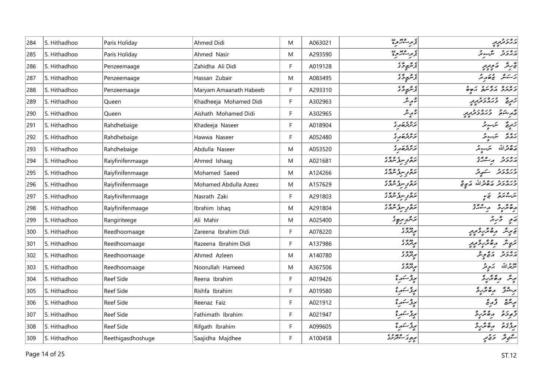| 284 | S. Hithadhoo | Paris Holiday     | <b>Ahmed Didi</b>      | M           | A063021 | ې پر ۱۳۵ مخ                             | پر د د ورور ور<br>  پر پر د تر ور       |
|-----|--------------|-------------------|------------------------|-------------|---------|-----------------------------------------|-----------------------------------------|
| 285 | S. Hithadhoo | Paris Holiday     | Ahmed Nasir            | M           | A293590 | إدبر عبرية                              | رەرد شهر                                |
| 286 | S. Hithadhoo | Penzeemaage       | Zahidha Ali Didi       | F           | A019128 | ې ش <sub>کىچ</sub> ئەكتى                | چ رنگ که ویربر<br>مخ                    |
| 287 | S. Hithadhoo | Penzeemaage       | Hassan Zubair          | M           | A083495 | ئۇنترىپو ئەتر                           | برسكس مح مريح                           |
| 288 | S. Hithadhoo | Penzeemaage       | Maryam Amaanath Habeeb | F           | A293310 | ۇ ئىرىپ <sub>و</sub> گرى<br>ئى          | נפנם נדנית גםם                          |
| 289 | S. Hithadhoo | Queen             | Khadheeja Mohamed Didi | F           | A302963 | ع مړينه<br>                             | زَمِرِيحٌ وَبَرْدُودَورِمِرِ            |
| 290 | S. Hithadhoo | Queen             | Aishath Mohamed Didi   | F.          | A302965 | ع مړينه<br>                             |                                         |
| 291 | S. Hithadhoo | Rahdhebaige       | Khadeeja Naseer        | F           | A018904 | ر و ۽ ر ۽<br>پرترپر <i>ھ</i> ر ء        | كَمَعِيقٌ - مَرْسِومُرٌ                 |
| 292 | S. Hithadhoo | Rahdhebaige       | Hawwa Naseer           | F           | A052480 | ر ه ه د ر ه<br> تر تر تر ه د د          | رەپ شەيدى                               |
| 293 | S. Hithadhoo | Rahdhebaige       | Abdulla Naseer         | M           | A053520 | ىر ە ي پەر ي<br>ئىرگىر <i>ى م</i> ېرى   | وكمحصح الله تترجع                       |
| 294 | S. Hithadhoo | Raiyfinifenmaage  | Ahmed Ishaaq           | M           | A021681 | بره و سره عدد به                        | رەرد مەر                                |
| 295 | S. Hithadhoo | Raiyfinifenmaage  | Mohamed Saeed          | M           | A124266 | ىرە <sub>ۋې</sub> سرىگە ئەم             | ورەرو سەرو                              |
| 296 | S. Hithadhoo | Raiyfinifenmaage  | Mohamed Abdulla Azeez  | M           | A157629 | ىرە <sub>ۋى</sub> سرۇ بىرد <sup>ى</sup> | وره رو رووالله مربي                     |
| 297 | S. Hithadhoo | Raiyfinifenmaage  | Nasrath Zaki           | $\mathsf F$ | A291803 | ىرە <sub>ۋې</sub> سرىگە ئەم             | تترجع تميم                              |
| 298 | S. Hithadhoo | Raiyfinifenmaage  | Ibrahim Ishaq          | M           | A291804 | ىرە <sub>ۋې</sub> سرىگە ئەم             | وهتر و وسنڌ                             |
| 299 | S. Hithadhoo | Rangiriteege      | Ali Mahir              | M           | A025400 | ئەشمە بىر چە ئە                         | ەي ۋرىژ                                 |
| 300 | S. Hithadhoo | Reedhoomaage      | Zareena Ibrahim Didi   | F.          | A078220 | ود د د<br>مړندگر د                      | ر<br>پرېگر مۇمگرىۋىرىيە                 |
| 301 | S. Hithadhoo | Reedhoomaage      | Razeena Ibrahim Didi   | $\mathsf F$ | A137986 | د ده د د<br>مونترنژ د                   | برې شه ره ټرېږ درېږ                     |
| 302 | S. Hithadhoo | Reedhoomaage      | Ahmed Azleen           | M           | A140780 | د ده د د<br>مونترنژ د                   | بر 2 پر د<br>مربر تر تر<br>ە ئەغ چە ئىر |
| 303 | S. Hithadhoo | Reedhoomaage      | Noorullah Hameed       | M           | A367506 | دده و<br>موترو د                        | مربرالله<br>برَدٍ قر                    |
| 304 | S. Hithadhoo | Reef Side         | Reena Ibrahim          | $\mathsf F$ | A019426 | ىبە ئۇ سىھرى                            | بریٹر برھ تربر د                        |
| 305 | S. Hithadhoo | Reef Side         | Rishfa Ibrahim         | $\mathsf F$ | A019580 | ىبە ئۇ سىمبر ؟                          | دەندېرد<br>ىرىشۇ ئە                     |
| 306 | S. Hithadhoo | <b>Reef Side</b>  | Reenaz Faiz            | F           | A021912 | ىيە ئۇ سىھرى                            | ېږېشى<br>تر مر مح                       |
| 307 | S. Hithadhoo | Reef Side         | Fathimath Ibrahim      | F           | A021947 | ىيە ئۇ سىمبر ؟                          | ەرھەترىر <sup>ى</sup><br>وٌمورَمْ       |
| 308 | S. Hithadhoo | Reef Side         | Rifgath Ibrahim        | F.          | A099605 | ىر ۋىسەر ؟                              | ەرھ <i>مۇر</i> ۋ<br>ىر 3 مەر<br>موقى تى |
| 309 | S. Hithadhoo | Reethigasdhoshuge | Saajidha Majdhee       | F           | A100458 | مره و صدو و و<br>مره و سنترمرد          | سگھونگر کرکھ کر                         |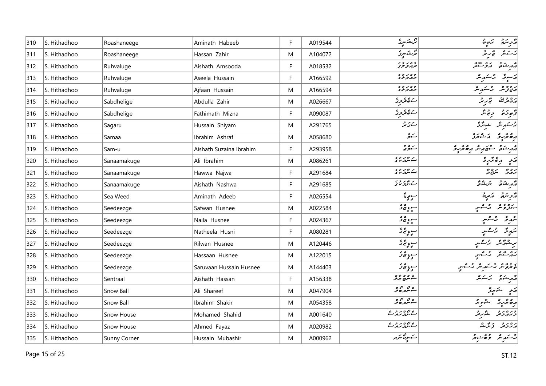| 310   | S. Hithadhoo | Roashaneege         | Aminath Habeeb          | F  | A019544 | ترىشەسرىگە                          | وتحريثهم<br>$\overset{\scriptscriptstyle\mathsf{--}}{\scriptscriptstyle\mathsf{--}}\!\hspace{-0.5pt}\mathsf{--}}\,$                                                                                                              |
|-------|--------------|---------------------|-------------------------|----|---------|-------------------------------------|----------------------------------------------------------------------------------------------------------------------------------------------------------------------------------------------------------------------------------|
| $311$ | S. Hithadhoo | Roashaneege         | Hassan Zahir            | M  | A104072 | جرشه مبرمج                          | برسەيىتە<br>پھ ريگر<br>س                                                                                                                                                                                                         |
| 312   | S. Hithadhoo | Ruhvaluge           | Aishath Amsooda         | F  | A018532 | و ه ر و ،<br>بوړ تو نو ی            | ىر 2 مىزدە<br>پە<br>تەربىسىسى                                                                                                                                                                                                    |
|       |              |                     |                         |    |         | و ہ ر و ۽<br>موهر حر پ              | بر سەمەر بىر                                                                                                                                                                                                                     |
| 313   | S. Hithadhoo | Ruhvaluge           | Aseela Hussain          | F. | A166592 |                                     | ىز سەبىر<br>ئە                                                                                                                                                                                                                   |
| 314   | S. Hithadhoo | Ruhvaluge           | Ajfaan Hussain          | M  | A166594 | و ه ر و ،<br>مور څونو ت             | ر د و ه<br>م نع تو شر<br>بر سە <sub>م</sub> رىش                                                                                                                                                                                  |
| 315   | S. Hithadhoo | Sabdhelige          | Abdulla Zahir           | M  | A026667 | ره ی د ی                            | برە تراللە<br>پچ ريخه<br>پخ                                                                                                                                                                                                      |
| 316   | S. Hithadhoo | Sabdhelige          | Fathimath Mizna         | F  | A090087 | رە ئەربى                            | ژُودَهُ دِځتُر                                                                                                                                                                                                                   |
| 317   | S. Hithadhoo | Sagaru              | Hussain Shiyam          | M  | A291765 | ىدىمە                               | جر سکھر مگر مشور شور پر جنگر شرکت کر دیگر دیگر دیگر دیگر دیگر دیگر دیکھی ایک کار دیکھی کے مگر دیکھی کے باہی کا<br>مگر ایک کارکردہ کارکردہ کارکردہ کرنے کے باہر سرکردہ کر ایک کارکردہ کے باہر مگر ایک کارکردہ کے باہر مگر دیکھی ک |
| 318   | S. Hithadhoo | Samaa               | Ibrahim Ashraf          | M  | A058680 | سەنى                                | ە ھەترىر <sup>ە</sup><br>ېر شه تنرو                                                                                                                                                                                              |
| 319   | S. Hithadhoo | Sam-u               | Aishath Suzaina Ibrahim | F  | A293958 | سەدە                                | ە ئەھقىم ئىستىم بىر ئەستەر بەر                                                                                                                                                                                                   |
| 320   | S. Hithadhoo | Sanaamakuge         | Ali Ibrahim             | M  | A086261 | ر پر د ،<br>سرگرم <sub>ک</sub>      | ړې د هغه د                                                                                                                                                                                                                       |
| 321   | S. Hithadhoo | Sanaamakuge         | Hawwa Najwa             | F  | A291684 | ر په په د ه<br>سر شر تر لو د        | رە پە<br>بەد بۇ<br>ىر ە بۇ<br>سرى خ                                                                                                                                                                                              |
| 322   | S. Hithadhoo | Sanaamakuge         | Aishath Nashwa          | F  | A291685 | ر پر دی<br>سه متر <del>د</del> بر د | ۇ مەشىرە<br>مەم<br>سرشوگر                                                                                                                                                                                                        |
| 323   | S. Hithadhoo | Sea Weed            | Aminath Adeeb           | F  | A026554 | سوم و ؟<br>پرو                      | הכיתה הנקים                                                                                                                                                                                                                      |
| 324   | S. Hithadhoo | Seedeezge           | Safwan Husnee           | M  | A022584 | ر و ه د ه<br>پر و ه د ک             | بەرەپ بۇ يەسىر                                                                                                                                                                                                                   |
| 325   | S. Hithadhoo | Seedeezge           | Naila Husnee            | F  | A024367 | ر و ه ه<br>تو پوځ د                 | شرق ياتسب <mark>ر</mark><br>شرق ياتسبر<br>شهوق ياتسبر                                                                                                                                                                            |
| 326   | S. Hithadhoo | Seedeezge           | Natheela Husni          | F  | A080281 | $rac{1}{56}$                        |                                                                                                                                                                                                                                  |
| 327   | S. Hithadhoo | Seedeezge           | Rilwan Husnee           | M  | A120446 | $rac{c}{s}$                         | ىرىشۇش بۇيشىر                                                                                                                                                                                                                    |
| 328   | S. Hithadhoo | Seedeezge           | Hassaan Husnee          | M  | A122015 | سو و ځو ځو<br>تونو ځونو             | رە ئەمىر<br>بەر شەمىر                                                                                                                                                                                                            |
| 329   | S. Hithadhoo | Seedeezge           | Saruvaan Hussain Husnee | M  | A144403 | ر و و ځ<br>په نومۍ                  | ر و د ه ر م که کرد.<br>فرمرغ مر                                                                                                                                                                                                  |
| 330   | S. Hithadhoo | Sentraal            | Aishath Hassan          | F  | A156338 | <u>، وه و و</u>                     | ۇرمۇق ئەسكىر                                                                                                                                                                                                                     |
| 331   | S. Hithadhoo | Snow Ball           | Ali Shareef             | M  | A047904 | <u>ه چې چې د</u>                    | أرشم المستشرير                                                                                                                                                                                                                   |
| 332   | S. Hithadhoo | Snow Ball           | Ibrahim Shakir          | M  | A054358 | <u>ه چې چې د</u>                    | ە ھېڭرىرى<br>برھېڭرىرى<br>شەر بىر                                                                                                                                                                                                |
| 333   | S. Hithadhoo | Snow House          | Mohamed Shahid          | M  | A001640 | <u>ه جې د بر ه</u>                  | ورەرو ئەر                                                                                                                                                                                                                        |
| 334   | S. Hithadhoo | <b>Snow House</b>   | Ahmed Fayaz             | M  | A020982 | <u>ه ۶</u> ۷۵ و م                   | رەرد زېژگ                                                                                                                                                                                                                        |
| 335   | S. Hithadhoo | <b>Sunny Corner</b> | Hussain Mubashir        | M  | A000962 | لىئەمدىنىگىر                        | بركتهر مركز وكالشومر                                                                                                                                                                                                             |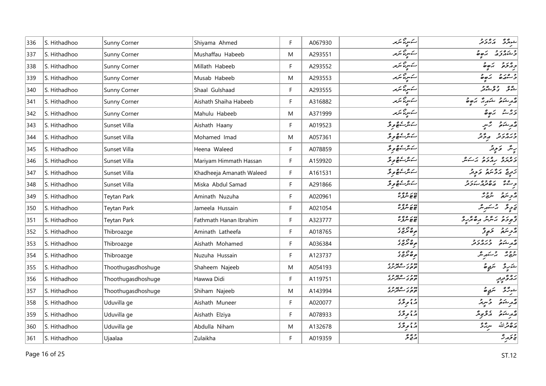| 336 | S. Hithadhoo | <b>Sunny Corner</b> | Shiyama Ahmed            | F  | A067930 | سەسرىئا مىزىر                            | شەدگر گر<br>برورو                                                                                                                                                                                                                                                                                                                                                                                                                                                                                                                                                                                                                                               |
|-----|--------------|---------------------|--------------------------|----|---------|------------------------------------------|-----------------------------------------------------------------------------------------------------------------------------------------------------------------------------------------------------------------------------------------------------------------------------------------------------------------------------------------------------------------------------------------------------------------------------------------------------------------------------------------------------------------------------------------------------------------------------------------------------------------------------------------------------------------|
| 337 | S. Hithadhoo | Sunny Corner        | Mushaffau Habeeb         | M  | A293551 | سە يېرىنا ئىترىپر                        | و دره د د<br>$\overset{\scriptscriptstyle\mathsf{--}}{\scriptscriptstyle\mathsf{--}}\!\!\!\!\!\circ\;\stackrel{\scriptscriptstyle\mathsf{--}}{\scriptscriptstyle\mathsf{--}}\!\!\!\!\!\circ\;\stackrel{\scriptscriptstyle\mathsf{--}}{\scriptscriptstyle\mathsf{--}}\!\!\!\!\!\circ\;\stackrel{\scriptscriptstyle\mathsf{--}}{\scriptscriptstyle\mathsf{--}}\!\!\!\!\!\circ\;\stackrel{\scriptscriptstyle\mathsf{--}}{\scriptscriptstyle\mathsf{--}}\!\!\!\!\!\circ\;\stackrel{\scriptscriptstyle\mathsf{--}}{\scriptscriptstyle\mathsf{--}}\!\!\!\!\!\circ\;\stackrel{\scriptscriptstyle\mathsf{--}}{\scriptscriptstyle\mathsf{--}}\!\!\!\!\!\circ\;\stackrel$ |
| 338 | S. Hithadhoo | <b>Sunny Corner</b> | Millath Habeeb           | F. | A293552 | سەسرىئا مىزىر                            | $5001$ $700$                                                                                                                                                                                                                                                                                                                                                                                                                                                                                                                                                                                                                                                    |
| 339 | S. Hithadhoo | Sunny Corner        | Musab Habeeb             | M  | A293553 | سەسرىئا مىزىر                            | ومشهرة<br>$\overset{\scriptscriptstyle\mathsf{--}}{\scriptscriptstyle\mathsf{--}}\hspace{-0.5pt}\mathsf{--}}$                                                                                                                                                                                                                                                                                                                                                                                                                                                                                                                                                   |
| 340 | S. Hithadhoo | Sunny Corner        | Shaal Gulshaad           | F  | A293555 | <br> سەمبەر ئەتىرىد                      | ىش <sup>ى</sup> ر دەپتەر                                                                                                                                                                                                                                                                                                                                                                                                                                                                                                                                                                                                                                        |
| 341 | S. Hithadhoo | Sunny Corner        | Aishath Shaiha Habeeb    | F  | A316882 | ا سەمبەر<br>—                            | مەر شىم شىرىر كەھ                                                                                                                                                                                                                                                                                                                                                                                                                                                                                                                                                                                                                                               |
| 342 | S. Hithadhoo | Sunny Corner        | Mahulu Habeeb            | M  | A371999 | سەسرىئا مىزىر                            | $rac{2}{2}$                                                                                                                                                                                                                                                                                                                                                                                                                                                                                                                                                                                                                                                     |
| 343 | S. Hithadhoo | Sunset Villa        | Aishath Haany            | F  | A019523 | سەنى <i>ر ش</i> ەھ بو ئۇ                 | ە ئەرىشىتى ئەسىر                                                                                                                                                                                                                                                                                                                                                                                                                                                                                                                                                                                                                                                |
| 344 | S. Hithadhoo | Sunset Villa        | Mohamed Imad             | M  | A057361 | رەم ئەھ <sub>م</sub> ۇ                   | و ر ه ر د<br>تر پر ژ تر<br>ەرگەتر                                                                                                                                                                                                                                                                                                                                                                                                                                                                                                                                                                                                                               |
| 345 | S. Hithadhoo | Sunset Villa        | Heena Waleed             | F  | A078859 | سەنى <i>ر شى</i> ھ م <sub>و</sub> ئۇ     | ريثر - وَمِعْ بِرْ                                                                                                                                                                                                                                                                                                                                                                                                                                                                                                                                                                                                                                              |
| 346 | S. Hithadhoo | Sunset Villa        | Mariyam Himmath Hassan   | F. | A159920 | ر مەر مىق <mark> ب</mark> و ئۇ           | גפגם הפגב ג'יילייל                                                                                                                                                                                                                                                                                                                                                                                                                                                                                                                                                                                                                                              |
| 347 | S. Hithadhoo | Sunset Villa        | Khadheeja Amanath Waleed | F. | A161531 | سەمىر سى <i>مىھى بى</i>                  | تَرْمِيعٌ " دَرَّسْهُ أَوَمِيْتُ                                                                                                                                                                                                                                                                                                                                                                                                                                                                                                                                                                                                                                |
| 348 | S. Hithadhoo | Sunset Villa        | Miska Abdul Samad        | F  | A291866 | سەمىر <i>شىغ <sub>ئ</sub>و</i> ئۇ        | ر ٥ ٥ ٥ ٥ ر ر و<br>پرڪ تو پر سينو تو<br>وسثرثه                                                                                                                                                                                                                                                                                                                                                                                                                                                                                                                                                                                                                  |
| 349 | S. Hithadhoo | Teytan Park         | Aminath Nuzuha           | F  | A020961 | ،، > ۵ ويو ه<br>ح ح سرتو ر               | ومحر يترة فللمسترج                                                                                                                                                                                                                                                                                                                                                                                                                                                                                                                                                                                                                                              |
| 350 | S. Hithadhoo | <b>Teytan Park</b>  | Jameela Hussain          | F  | A021054 | ،، > ۵ ويو ه<br>ح ح سرتو ر               | نے پانچھ سے جس شر                                                                                                                                                                                                                                                                                                                                                                                                                                                                                                                                                                                                                                               |
| 351 | S. Hithadhoo | Teytan Park         | Fathmath Hanan Ibrahim   | F  | A323777 | <br>  ج ج سرتو ر                         | و څوخه د سرسر مه سربره                                                                                                                                                                                                                                                                                                                                                                                                                                                                                                                                                                                                                                          |
| 352 | S. Hithadhoo | Thibroazge          | Aminath Latheefa         | F. | A018765 | $rac{1}{555500}$                         | أأدبتكم فبوثر                                                                                                                                                                                                                                                                                                                                                                                                                                                                                                                                                                                                                                                   |
| 353 | S. Hithadhoo | Thibroazge          | Aishath Mohamed          | F  | A036384 | 5000                                     | و رە ر د<br><i>د بە</i> گەر<br>ر<br>در ۲ سنگور                                                                                                                                                                                                                                                                                                                                                                                                                                                                                                                                                                                                                  |
| 354 | S. Hithadhoo | Thibroazge          | Nuzuha Hussain           | F. | A123737 | ه ۵ ۵ ۵ م<br>موه ترې د                   | و و و.<br>سرچ بر<br>برسەمەر                                                                                                                                                                                                                                                                                                                                                                                                                                                                                                                                                                                                                                     |
| 355 | S. Hithadhoo | Thoothugasdhoshuge  | Shaheem Najeeb           | M  | A054193 | دد و بر ان میر و د<br>محامی کا مسافر مور | ے پر و<br>مع<br>سكيجوة                                                                                                                                                                                                                                                                                                                                                                                                                                                                                                                                                                                                                                          |
| 356 | S. Hithadhoo | Thoothugasdhoshuge  | Hawwa Didi               | F  | A119751 |                                          | <br>  پر پر تو تو تو<br>  پر پر تو                                                                                                                                                                                                                                                                                                                                                                                                                                                                                                                                                                                                                              |
| 357 | S. Hithadhoo | Thoothugasdhoshuge  | Shiham Najeeb            | M  | A143994 | دد د بر ه پر د پ<br>حومو که سوفر مرک     | $\overline{\mathcal{Z}^{\mathcal{E}_{\mathbf{a}}^{\mathcal{E}_{\mathbf{a}}}}_{\mathcal{L}_{\mathbf{a}}^{\mathcal{E}_{\mathbf{a}}}}}$<br>سكورة                                                                                                                                                                                                                                                                                                                                                                                                                                                                                                                   |
| 358 | S. Hithadhoo | Uduvilla ge         | Aishath Muneer           | F  | A020077 | د د و د د کا                             | ۇ مەشقۇم<br>مەر<br>د سرپر<br>پ                                                                                                                                                                                                                                                                                                                                                                                                                                                                                                                                                                                                                                  |
| 359 | S. Hithadhoo | Uduvilla ge         | Aishath Elziya           | F  | A078933 | د د پر ،<br>موځو                         | ې ه<br>مرمونې پر<br>پ <sup>و</sup> پر شوې                                                                                                                                                                                                                                                                                                                                                                                                                                                                                                                                                                                                                       |
| 360 | S. Hithadhoo | Uduvilla ge         | Abdulla Niham            | M  | A132678 | د د پر پر<br>پروتونون                    | برە قراللە<br>سرژو                                                                                                                                                                                                                                                                                                                                                                                                                                                                                                                                                                                                                                              |
| 361 | S. Hithadhoo | Ujaalaa             | Zulaikha                 | F  | A019359 | پر پچ تخه                                | ترخرور                                                                                                                                                                                                                                                                                                                                                                                                                                                                                                                                                                                                                                                          |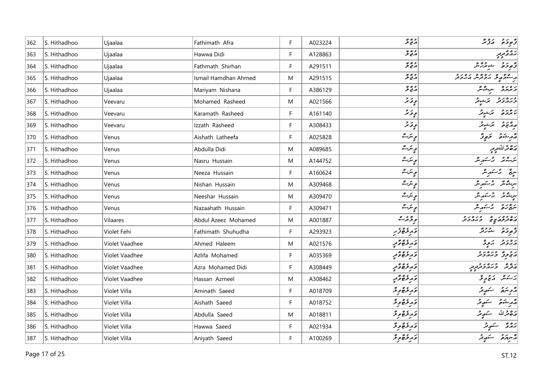| 362 | S. Hithadhoo   | Ujaalaa        | Fathimath Afra       | F  | A023224 | و په بخ<br>مربح نخر | توجدة رەپر                                             |
|-----|----------------|----------------|----------------------|----|---------|---------------------|--------------------------------------------------------|
| 363 | S. Hithadhoo   | Ujaalaa        | Hawwa Didi           | F  | A128863 | و ره بخ<br>مربح محر | ر ە بە<br>بەھەتە دىر                                   |
| 364 | S. Hithadhoo   | Ujaalaa        | Fathmath Shirhan     | F. | A291511 | و پر بخ<br>مربح محر | ۇ ب <sub>و</sub> ر د<br>شو برگر مگر<br>—               |
| 365 | S. Hithadhoo   | Ujaalaa        | Ismail Hamdhan Ahmed | M  | A291515 | پرځ بحر             | ر و د و د و د ه د د د د د<br>پرسرد پر د د د بر د برو د |
| 366 | S. Hithadhoo   | Ujaalaa        | Mariyam Nishana      | F  | A386129 | و » پخ<br>مربع مو   | رەرە سەشكەر                                            |
| 367 | S. Hithadhoo   | Veevaru        | Mohamed Rasheed      | M  | A021566 | عٍ عَرَ مَمْر       | وره رو کرشونر<br><i>د بر د تر</i> کونر                 |
| 368 | S. Hithadhoo   | Veevaru        | Karamath Rasheed     | F  | A161140 | عٍ عَرَ مَهْر       | كالمحروم كالمشوقر                                      |
| 369 | S. Hithadhoo   | Veevaru        | Izzath Rasheed       | F  | A308433 | عريجه               | ەر ئەھمەت ئىمە ئىشىرىد<br>ئىرمە ئىم ئىم ئىشىرىد        |
| 370 | S. Hithadhoo   | Venus          | Aishath Latheefa     | F  | A025828 | <sub>حو</sub> يئر ٿ | پ <sup>و</sup> مرشوحه<br>ارگرم<br>ځ چوتر               |
| 371 | S. Hithadhoo   | Venus          | Abdulla Didi         | M  | A089685 | <sub>حو</sub> يئر ٿ | برة قراللّه مومو                                       |
| 372 | S. Hithadhoo   | Venus          | Nasru Hussain        | M  | A144752 | ء ٍ سَرَتْہ         | برجع رحمته                                             |
| 373 | S. Hithadhoo   | Venus          | Neeza Hussain        | F. | A160624 | اريته               | سرچ چرے ہر شر                                          |
| 374 | S. Hithadhoo   | Venus          | Nishan Hussain       | M  | A309468 | ء ٍ سَرَتْ          | سرىشى ئەسكىرىكى                                        |
| 375 | l S. Hithadhoo | Venus          | Neeshar Hussain      | M  | A309470 | ء ٍ سَرَتْ          | سرڪري رحم گريگر بگر                                    |
| 376 | S. Hithadhoo   | Venus          | Nazaahath Hussain    | F  | A309471 | <sub>حو</sub> يئر ٿ | برورد ويهرش                                            |
| 377 | S. Hithadhoo   | Vilaares       | Abdul Azeez Mohamed  | M  | A001887 | ە ئۇ ئۈرك           | ره وه ر په دره د د<br>پرهنروړنې د د د دند              |
| 378 | S. Hithadhoo   | Violet Fehi    | Fathimath Shuhudha   | F. | A293923 | ءَ مرځوعو کر        | أوالمجانج والمحمد والمحرج                              |
| 379 | S. Hithadhoo   | Violet Vaadhee | Ahmed Haleem         | M  | A021576 | ءَ ٻر ڏي ءُ تر      | رەرد رود                                               |
| 380 | S. Hithadhoo   | Violet Vaadhee | Azlifa Mohamed       | F  | A035369 | ءَ ٻر ڏه ه ٿورِ     | גיב כל פל                                              |
| 381 | S. Hithadhoo   | Violet Vaadhee | Azra Mohamed Didi    | F  | A308449 | ءَ ٻرءَ ۾ وَ مرِ    | ره و دره روبرد.<br>مشرکت وبرمروترترین                  |
| 382 | S. Hithadhoo   | Violet Vaadhee | Hassan Azmeel        | M  | A308462 | تەرىخى ئۇ تېر       | ىرىكى مەج ئى                                           |
| 383 | S. Hithadhoo   | Violet Villa   | Aminath Saeed        | F  | A018709 | أقار بحقح عرقم      | أوجب سنتور والمستور                                    |
| 384 | S. Hithadhoo   | Violet Villa   | Aishath Saeed        | F  | A018752 | وَرِدْعُ وِدَّ      | مەر ئىكى كەر ئىكەن                                     |
| 385 | S. Hithadhoo   | Violet Villa   | Abdulla Saeed        | M  | A018811 | ئەرىۋىھ موڭر        | أرەقمەاللە سەمبەتر                                     |
| 386 | S. Hithadhoo   | Violet Villa   | Hawwa Saeed          | F  | A021934 | ئەرىۋە بۇ ئە        | ر ه پی<br>پر <sub>ا</sub> ر څ<br>سەمەقر                |
| 387 | S. Hithadhoo   | Violet Villa   | Aniyath Saeed        | F  | A100269 | وَرِدْعْ وِدَّ      | وسروح سكويتر                                           |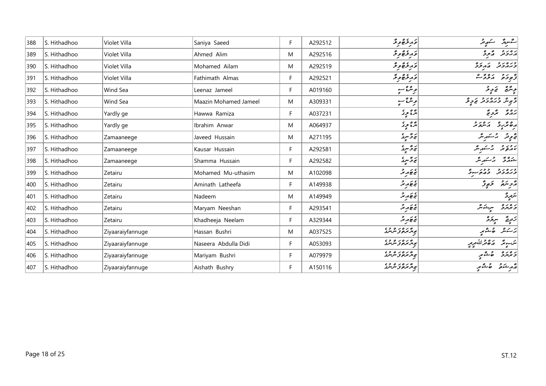| 388 | S. Hithadhoo   | Violet Villa     | Saniya Saeed          | F. | A292512 | ا ئەمرى <i>خ ھ</i> وڭر                       | سەسد<br>ستەھەقىر                             |
|-----|----------------|------------------|-----------------------|----|---------|----------------------------------------------|----------------------------------------------|
| 389 | S. Hithadhoo   | Violet Villa     | Ahmed Alim            | M  | A292516 | ا ئەر ئۇھ <sub>ى ب</sub> ۇ                   | پر ۱۵ ر و<br>  پر پر <del>د</del> ر<br>رزور  |
| 390 | S. Hithadhoo   | Violet Villa     | Mohamed Ailam         | M  | A292519 | ر<br>ج مرځ چو ځه                             | و ره ر د<br>تر <i>پر</i> وتر<br>ەدىرە        |
| 391 | l S. Hithadhoo | Violet Villa     | Fathimath Almas       | F  | A292521 | وَرِدْعْ وِدَّ                               | ىرۋۇپ<br>ا ژه د ده.                          |
| 392 | S. Hithadhoo   | Wind Sea         | Leenaz Jameel         | F  | A019160 | ء مرہ مب<br>-                                | ويترجى فأوقر                                 |
| 393 | S. Hithadhoo   | Wind Sea         | Maazin Mohamed Jameel | M  | A309331 | احتقاق ہے                                    | وٌ ۽ شرح پر دي وي                            |
| 394 | l S. Hithadhoo | Yardly ge        | Hawwa Ramiza          | F  | A037231 | پره <sub>م</sub> ور                          | s s sox<br>محراتي مح<br>بردو                 |
| 395 | l S. Hithadhoo | Yardly ge        | Ibrahim Anwar         | M  | A064937 | لوه و د پر<br>مربع موبر                      | مەھرىرى<br>2001<br>ہر سربو بمر               |
| 396 | S. Hithadhoo   | Zamaaneege       | Javeed Hussain        | M  | A271195 | ىر ئ <sup>ۇ</sup> س <sub>ى</sub> نە          | قح و قر سنگر مگر مگر                         |
| 397 | S. Hithadhoo   | Zamaaneege       | Kausar Hussain        | F  | A292581 | ىر ئ <sup>ۇ</sup> س <sub>ى</sub> نە          | برسەمەرىش<br>ىر جەنبە<br>مەمۇرىمە            |
| 398 | S. Hithadhoo   | Zamaaneege       | Shamma Hussain        | F  | A292582 | ىر ئ <sup>ۇ</sup> س <sub>ى</sub> نج          | شەھ بىخ<br>برسەمەمىر                         |
| 399 | l S. Hithadhoo | Zetairu          | Mohamed Mu-uthasim    | M  | A102098 | ې خ مريز<br>مخ خ                             | כנסנכ כבנ<br><i>כג</i> וכנ <sub>ר</sub> כומי |
| 400 | S. Hithadhoo   | Zetairu          | Aminath Latheefa      | F  | A149938 | تجءَمِ تمُر                                  | أرمز تر<br>ىخ ج <sub>و</sub> تۇ              |
| 401 | S. Hithadhoo   | Zetairu          | Nadeem                | M  | A149949 | ایج <sub>ت</sub> قور تمر                     | سَرَمبر رُح                                  |
| 402 | S. Hithadhoo   | Zetairu          | Maryam Neeshan        | F. | A293541 | تج ڪوريٽر                                    | تر جو بر م<br>سرىشكە<br>ئ                    |
| 403 | S. Hithadhoo   | Zetairu          | Khadheeja Neelam      | F  | A329344 | ع ءَ م <i>ر</i> بر                           | سربزد<br>  تزموچؓ                            |
| 404 | S. Hithadhoo   | Ziyaaraiyfannuge | Hassan Bushri         | M  | A037525 | پر دے دے دے<br>بے دگر <i>مرکز م</i> رکب      | يرسكس كالقيمبر                               |
| 405 | S. Hithadhoo   | Ziyaaraiyfannuge | Naseera Abdulla Didi  | F. | A053093 | پر د ه د ه د و و<br>پر پرچونو سرسری          | بتزييد تتمر<br>ركە قراللەر بىر               |
| 406 | S. Hithadhoo   | Ziyaaraiyfannuge | Mariyam Bushri        | F  | A079979 | ے بڑ بر ہ ر ہ و د و<br>  بح بڑ برجو تو سرسری | پر ه پر ه<br>ھ شەمر                          |
| 407 | S. Hithadhoo   | Ziyaaraiyfannuge | Aishath Bushry        | F  | A150116 | پر پر پر ص و و<br>  پر پر پر پولو سرس        | أمار مشوم كالمشامر                           |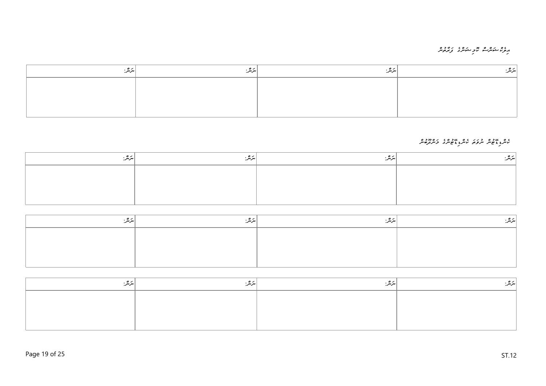## *w7qAn8m?sCw7mRo>u;wEw7mRw;sBo<*

| ' مرمر | 'يئرىثر: |
|--------|----------|
|        |          |
|        |          |
|        |          |

## *w7q9r@w7m>sCw7qHtFoFw7s;mAm=q7w7qHtFoFw7s;*

| ىر تە | $\mathcal{O} \times$<br>$\sim$ | $\sim$<br>. . | لترنثر |
|-------|--------------------------------|---------------|--------|
|       |                                |               |        |
|       |                                |               |        |
|       |                                |               |        |

| $\frac{2}{n}$ | $\overline{\phantom{a}}$ | اير هنه. | $\mathcal{O} \times$<br>سرسر |
|---------------|--------------------------|----------|------------------------------|
|               |                          |          |                              |
|               |                          |          |                              |
|               |                          |          |                              |

| ' ئىرتىر: | سر سر |  |
|-----------|-------|--|
|           |       |  |
|           |       |  |
|           |       |  |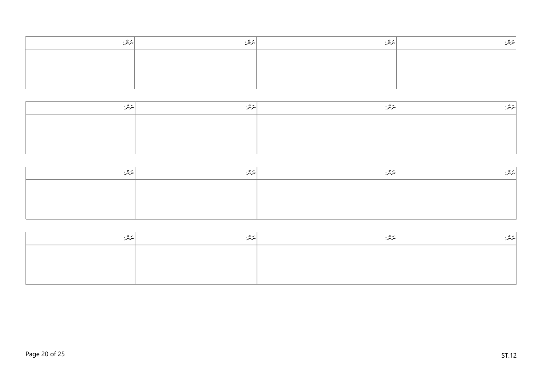| يره. | ο. | ا ير ه |  |
|------|----|--------|--|
|      |    |        |  |
|      |    |        |  |
|      |    |        |  |

| <sup>.</sup> سرسر. |  |
|--------------------|--|
|                    |  |
|                    |  |
|                    |  |

| ىئرىتر. | $\sim$ | ا بر هه. | لىرىش |
|---------|--------|----------|-------|
|         |        |          |       |
|         |        |          |       |
|         |        |          |       |

| $\overline{\phantom{a}}$<br>سرس. | ر ه<br>,,, | . . | 。<br>سرس. |
|----------------------------------|------------|-----|-----------|
|                                  |            |     |           |
|                                  |            |     |           |
|                                  |            |     |           |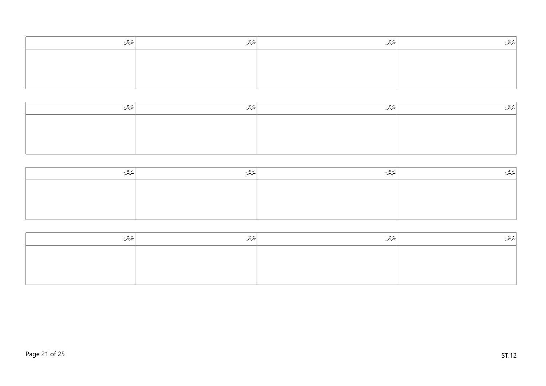| ير هو . | $\overline{\phantom{a}}$ | يرمر | اير هنه. |
|---------|--------------------------|------|----------|
|         |                          |      |          |
|         |                          |      |          |
|         |                          |      |          |

| ىر ھ | $\circ$ $\sim$<br>ا سرسر. | $\circ$ $\sim$<br>' سرسر . | o <i>~</i><br>سرسر. |
|------|---------------------------|----------------------------|---------------------|
|      |                           |                            |                     |
|      |                           |                            |                     |
|      |                           |                            |                     |

| 'تترنثر: | 。<br>,,,, |  |
|----------|-----------|--|
|          |           |  |
|          |           |  |
|          |           |  |

|  | . ه |
|--|-----|
|  |     |
|  |     |
|  |     |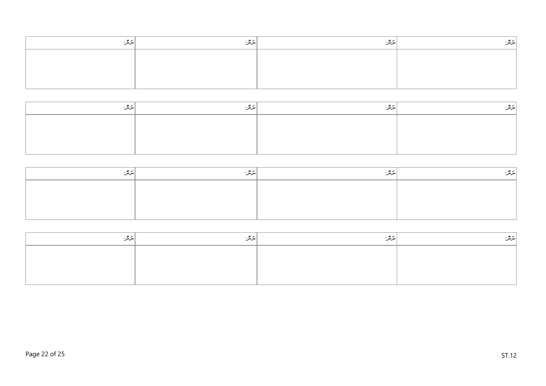| ير هو . | $\overline{\phantom{a}}$ | يرمر | اير هنه. |
|---------|--------------------------|------|----------|
|         |                          |      |          |
|         |                          |      |          |
|         |                          |      |          |

| ئىرتىر: | $\sim$<br>ا سرسر . | يئرمثر | o . |
|---------|--------------------|--------|-----|
|         |                    |        |     |
|         |                    |        |     |
|         |                    |        |     |

| 。 | . . | أيئر مثر : |
|---|-----|------------|
|   |     |            |
|   |     |            |
|   |     |            |

|  | . ه |
|--|-----|
|  |     |
|  |     |
|  |     |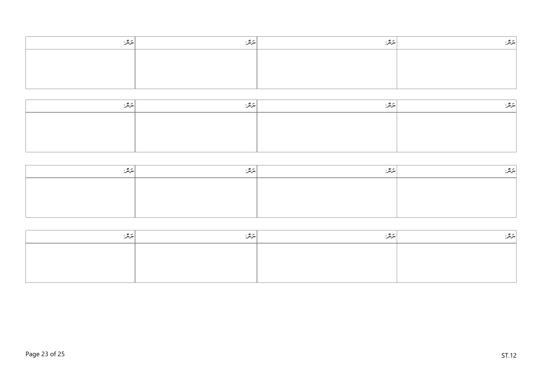| ير هو . | $\overline{\phantom{a}}$ | يرمر | اير هنه. |
|---------|--------------------------|------|----------|
|         |                          |      |          |
|         |                          |      |          |
|         |                          |      |          |

| ايرعر: | ر ه<br>. . |  |
|--------|------------|--|
|        |            |  |
|        |            |  |
|        |            |  |

| بر ه | . ه | $\sim$<br>سرسر |  |
|------|-----|----------------|--|
|      |     |                |  |
|      |     |                |  |
|      |     |                |  |

| 。<br>. س | ىرىىر |  |
|----------|-------|--|
|          |       |  |
|          |       |  |
|          |       |  |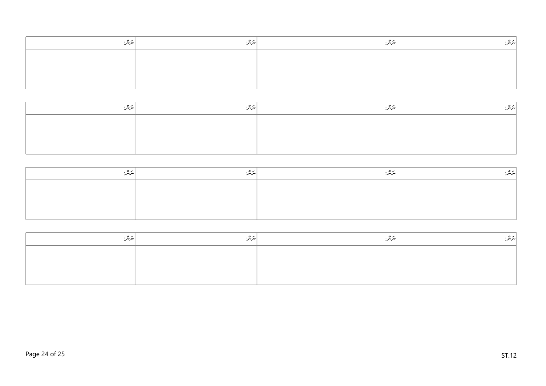| ير هو . | $\overline{\phantom{a}}$ | يرمر | اير هنه. |
|---------|--------------------------|------|----------|
|         |                          |      |          |
|         |                          |      |          |
|         |                          |      |          |

| ئىرتىر: | $\sim$<br>ا سرسر . | يئرمثر | o . |
|---------|--------------------|--------|-----|
|         |                    |        |     |
|         |                    |        |     |
|         |                    |        |     |

| انترنثر: | ر ه |  |
|----------|-----|--|
|          |     |  |
|          |     |  |
|          |     |  |

| $\tilde{\phantom{a}}$<br>سرسر. |  |  |
|--------------------------------|--|--|
|                                |  |  |
|                                |  |  |
|                                |  |  |